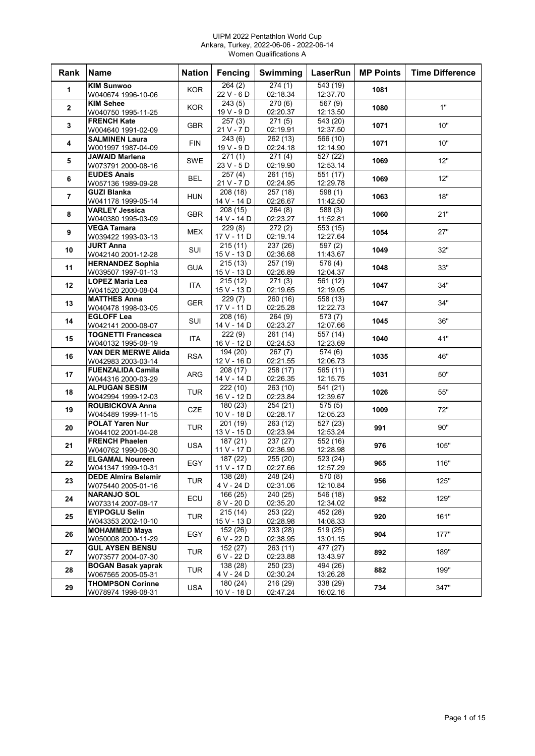#### UIPM 2022 Pentathlon World Cup Ankara, Turkey, 2022-06-06 - 2022-06-14 Women Qualifications A

| Rank           | <b>Name</b>                                   | <b>Nation</b> | Fencing                 | <b>Swimming</b>      | LaserRun              | <b>MP Points</b> | <b>Time Difference</b> |
|----------------|-----------------------------------------------|---------------|-------------------------|----------------------|-----------------------|------------------|------------------------|
| $\mathbf{1}$   | <b>KIM Sunwoo</b>                             | <b>KOR</b>    | 264(2)                  | 274(1)               | 543(19)               | 1081             |                        |
|                | W040674 1996-10-06                            |               | 22 V - 6 D              | 02:18.34             | 12:37.70              |                  |                        |
| $\mathbf{2}$   | KIM Sehee                                     | <b>KOR</b>    | 243(5)                  | $\overline{270}$ (6) | $\frac{1}{667(9)}$    | 1080             | 1"                     |
|                | W040750 1995-11-25                            |               | 19 V - 9 D              | 02:20.37             | 12:13.50              |                  |                        |
| 3              | <b>FRENCH Kate</b>                            | <b>GBR</b>    | 257(3)<br>21 V - 7 D    | 271(5)<br>02:19.91   | 543(20)<br>12:37.50   | 1071             | 10"                    |
|                | W004640 1991-02-09<br><b>SALMINEN Laura</b>   |               | 243(6)                  | 262 (13)             | 566 (10)              |                  |                        |
| 4              | W001997 1987-04-09                            | <b>FIN</b>    | $19V - 9D$              | 02:24.18             | 12:14.90              | 1071             | 10"                    |
|                | <b>JAWAID Marlena</b>                         |               | 271(1)                  | $\overline{271(4)}$  | $\frac{1}{227(22)}$   |                  |                        |
| 5              | W073791 2000-08-16                            | SWE           | 23 V - 5 D              | 02:19.90             | 12:53.14              | 1069             | 12"                    |
|                | <b>EUDES Anais</b>                            |               | 257(4)                  | 261 (15)             | 551 (17)              |                  |                        |
| 6              | W057136 1989-09-28                            | <b>BEL</b>    | 21 V - 7 D              | 02:24.95             | 12:29.78              | 1069             | 12"                    |
| $\overline{7}$ | <b>GUZI Blanka</b>                            | <b>HUN</b>    | 208(18)                 | 257 (18)             | $\overline{598}$ (1)  | 1063             | 18"                    |
|                | W041178 1999-05-14                            |               | 14 V - 14 D             | 02:26.67             | 11:42.50              |                  |                        |
| 8              | <b>VARLEY Jessica</b>                         | <b>GBR</b>    | 208(15)                 | 264(8)               | 588 (3)               | 1060             | 21"                    |
|                | W040380 1995-03-09                            |               | 14 V - 14 D             | 02:23.27             | 11:52.81              |                  |                        |
| 9              | <b>VEGA Tamara</b>                            | <b>MEX</b>    | 229(8)                  | 272(2)               | $\overline{553(15)}$  | 1054             | 27"                    |
|                | W039422 1993-03-13                            |               | 17 V - 11 D             | 02:19.14             | 12:27.64              |                  |                        |
| 10             | JURT Anna                                     | SUI           | 215(11)<br>15 V - 13 D  | 237 (26)             | $\overline{597}$ (2)  | 1049             | 32"                    |
|                | W042140 2001-12-28<br><b>HERNANDEZ Sophia</b> |               | 215(13)                 | 02:36.68<br>257 (19) | 11:43.67<br>576 (4)   |                  |                        |
| 11             | W039507 1997-01-13                            | <b>GUA</b>    | 15 V - 13 D             | 02:26.89             | 12:04.37              | 1048             | 33"                    |
|                | <b>LOPEZ Maria Lea</b>                        |               | 215(12)                 | 271(3)               | 561 (12)              |                  |                        |
| 12             | W041520 2000-08-04                            | <b>ITA</b>    | 15 V - 13 D             | 02:19.65             | 12:19.05              | 1047             | 34"                    |
|                | <b>MATTHES Anna</b>                           |               | 229(7)                  | 260(16)              | 558 (13)              |                  |                        |
| 13             | W040478 1998-03-05                            | <b>GER</b>    | 17 V - 11 D             | 02:25.28             | 12:22.73              | 1047             | 34"                    |
|                | <b>EGLOFF Lea</b>                             |               | 208 (16)                | 264(9)               | 573(7)                |                  |                        |
| 14             | W042141 2000-08-07                            | SUI           | 14 V - 14 D             | 02:23.27             | 12:07.66              | 1045             | 36"                    |
| 15             | <b>TOGNETTI Francesca</b>                     | <b>ITA</b>    | 222(9)                  | 261 (14)             | 557 (14)              | 1040             | 41"                    |
|                | W040132 1995-08-19                            |               | 16 V - 12 D             | 02:24.53             | 12:23.69              |                  |                        |
| 16             | <b>VAN DER MERWE Alida</b>                    | <b>RSA</b>    | 194 (20)                | 267(7)               | 574(6)                | 1035             | 46"                    |
|                | W042983 2003-03-14                            |               | 12 V - 16 D             | 02:21.55             | 12:06.73              |                  |                        |
| 17             | <b>FUENZALIDA Camila</b>                      | <b>ARG</b>    | 208 (17)                | 258 (17)             | $\overline{565}$ (11) | 1031             | 50"                    |
|                | W044316 2000-03-29<br><b>ALPUGAN SESIM</b>    |               | 14 V - 14 D             | 02:26.35             | 12:15.75              |                  |                        |
| 18             | W042994 1999-12-03                            | <b>TUR</b>    | 222 (10)<br>16 V - 12 D | 263 (10)<br>02:23.84 | 541 (21)<br>12:39.67  | 1026             | 55"                    |
|                | ROUBICKOVA Anna                               |               | 180(23)                 | 254 (21)             | 575(5)                |                  |                        |
| 19             | W045489 1999-11-15                            | <b>CZE</b>    | $10V - 18D$             | 02:28.17             | 12:05.23              | 1009             | 72"                    |
|                | <b>POLAT Yaren Nur</b>                        |               | 201(19)                 | 263 (12)             | 527 (23)              |                  |                        |
| 20             | W044102 2001-04-28                            | <b>TUR</b>    | 13 V - 15 D             | 02:23.94             | 12:53.24              | 991              | 90"                    |
| 21             | <b>FRENCH Phaelen</b>                         | <b>USA</b>    | 187 (21)                | 237 (27)             | $\overline{552}$ (16) | 976              | 105"                   |
|                | W040762 1990-06-30                            |               | 11 V - 17 D             | 02:36.90             | 12:28.98              |                  |                        |
| 22             | <b>ELGAMAL Noureen</b>                        | EGY           | 187 (22)                | 255(20)              | 523 (24)              | 965              | 116"                   |
|                | W041347 1999-10-31                            |               | 11 V - 17 D             | 02:27.66             | 12:57.29              |                  |                        |
| 23             | <b>DEDE Almira Belemir</b>                    | <b>TUR</b>    | 138 (28)                | 248 (24)             | 570 (8)               | 956              | 125"                   |
|                | W075440 2005-01-16                            |               | 4 V - 24 D              | 02:31.06             | 12:10.84              |                  |                        |
| 24             | <b>NARANJO SOL</b>                            | ECU           | 166 (25)                | 240 (25)             | $\overline{546}$ (18) | 952              | 129"                   |
|                | W073314 2007-08-17<br><b>EYIPOGLU Selin</b>   |               | 8 V - 20 D<br>215(14)   | 02:35.20<br>253(22)  | 12:34.02              |                  |                        |
| 25             | W043353 2002-10-10                            | <b>TUR</b>    | 15 V - 13 D             | 02:28.98             | 452 (28)<br>14:08.33  | 920              | 161"                   |
|                | <b>MOHAMMED Maya</b>                          |               | 152(26)                 | 233 (28)             | 519(25)               |                  |                        |
| 26             | W050008 2000-11-29                            | EGY           | 6 V - 22 D              | 02:38.95             | 13:01.15              | 904              | 177"                   |
|                | <b>GUL AYSEN BENSU</b>                        |               | 152 (27)                | 263 (11)             | 477 (27)              |                  |                        |
| 27             | W073577 2004-07-30                            | <b>TUR</b>    | 6 V - 22 D              | 02:23.88             | 13:43.97              | 892              | 189"                   |
| 28             | <b>BOGAN Basak yaprak</b>                     |               | 138 (28)                | 250 (23)             | 494 (26)              |                  | 199"                   |
|                | W067565 2005-05-31                            | <b>TUR</b>    | 4 V - 24 D              | 02:30.24             | 13:26.28              | 882              |                        |
| 29             | <b>THOMPSON Corinne</b>                       | USA           | 180 (24)                | 216 (29)             | 338 (29)              | 734              | 347"                   |
|                | W078974 1998-08-31                            |               | 10 V - 18 D             | 02:47.24             | 16:02.16              |                  |                        |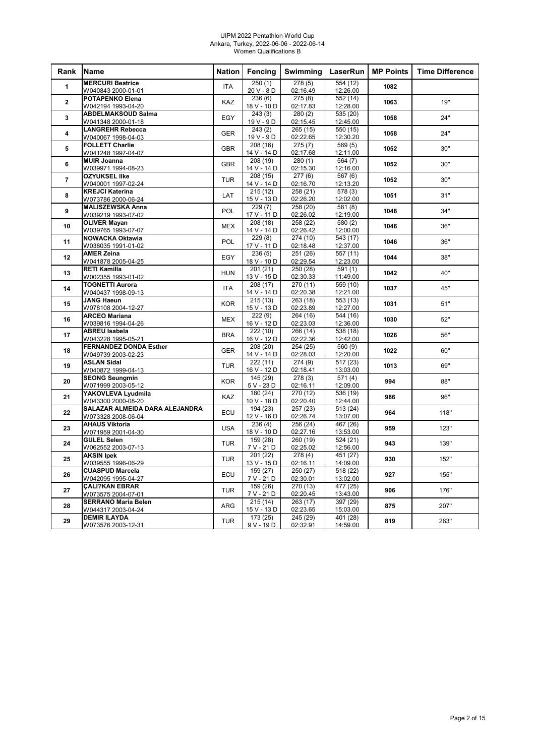#### UIPM 2022 Pentathlon World Cup Ankara, Turkey, 2022-06-06 - 2022-06-14 Women Qualifications B

| Rank           | Name                                          | <b>Nation</b> | Fencing                 | Swimming             | LaserRun             | <b>MP Points</b> | <b>Time Difference</b> |
|----------------|-----------------------------------------------|---------------|-------------------------|----------------------|----------------------|------------------|------------------------|
| $\mathbf{1}$   | <b>MERCURI Beatrice</b>                       | <b>ITA</b>    | 250(1)                  | 278(5)               | 554 (12)             | 1082             |                        |
|                | W040843 2000-01-01                            |               | 20 V - 8 D              | 02:16.49             | 12:26.00             |                  |                        |
| $\overline{2}$ | <b>POTAPENKO Elena</b>                        | KAZ           | 236(6)                  | 275(8)               | 552 (14)             | 1063             | 19"                    |
|                | W042194 1993-04-20                            |               | 18 V - 10 D             | 02:17.83             | 12:28.00             |                  |                        |
| 3              | <b>ABDELMAKSOUD Salma</b>                     | EGY           | 243(3)<br>19 V - 9 D    | 280(2)<br>02:15.45   | 535(20)<br>12:45.00  | 1058             | 24"                    |
|                | W041348 2000-01-18<br><b>LANGREHR Rebecca</b> |               | 243(2)                  | 265(15)              | 550 (15)             |                  |                        |
| 4              | W040067 1998-04-03                            | <b>GER</b>    | $19V - 9D$              | 02:22.65             | 12:30.20             | 1058             | 24"                    |
|                | <b>FOLLETT Charlie</b>                        |               | 208 (16)                | 275(7)               | 569(5)               |                  |                        |
| 5              | W041248 1997-04-07                            | <b>GBR</b>    | 14 V - 14 D             | 02:17.68             | 12:11.00             | 1052             | 30"                    |
| 6              | <b>MUIR Joanna</b>                            | <b>GBR</b>    | 208 (19)                | 280(1)               | 564 (7)              | 1052             | 30"                    |
|                | W039971 1994-08-23                            |               | 14 V - 14 D             | 02:15.30             | 12:16.00             |                  |                        |
| $\overline{7}$ | <b>OZYUKSEL IIke</b>                          | <b>TUR</b>    | 208(15)                 | 277(6)               | 567 (6)              | 1052             | 30"                    |
|                | W040001 1997-02-24                            |               | 14 V - 14 D             | 02:16.70             | 12:13.20             |                  |                        |
| 8              | <b>KREJCI Katerina</b><br>W073786 2000-06-24  | LAT           | 215(12)<br>15 V - 13 D  | 258 (21)<br>02:26.20 | 578(3)<br>12:02.00   | 1051             | 31"                    |
|                | <b>MALISZEWSKA Anna</b>                       |               | 229(7)                  | 258 (20)             | 561(8)               |                  |                        |
| 9              | W039219 1993-07-02                            | <b>POL</b>    | 17 V - 11 D             | 02:26.02             | 12:19.00             | 1048             | 34"                    |
| 10             | <b>OLIVER Mayan</b>                           |               | 208 (18)                | 258 (22)             | 580(2)               |                  | 36"                    |
|                | W039765 1993-07-07                            | <b>MEX</b>    | 14 V - 14 D             | 02:26.42             | 12:00.00             | 1046             |                        |
| 11             | <b>NOWACKA Oktawia</b>                        | <b>POL</b>    | 229(8)                  | 274 (10)             | 543 (17)             | 1046             | 36"                    |
|                | W038035 1991-01-02                            |               | 17 V - 11 D             | 02:18.48             | 12:37.00             |                  |                        |
| 12             | <b>AMER Zeina</b>                             | EGY           | 236(5)<br>18 V - 10 D   | 251 (26)<br>02:29.54 | 557 (11)<br>12:23.00 | 1044             | 38"                    |
|                | W041878 2005-04-25<br><b>RETI Kamilla</b>     |               | 201(21)                 | 250(28)              | 591(1)               |                  |                        |
| 13             | W002355 1993-01-02                            | <b>HUN</b>    | 13 V - 15 D             | 02:30.33             | 11:49.00             | 1042             | 40"                    |
|                | <b>TOGNETTI Aurora</b>                        |               | 208 (17)                | 270 (11)             | 559 (10)             |                  |                        |
| 14             | W040437 1998-09-13                            | <b>ITA</b>    | 14 V - 14 D             | 02:20.38             | 12:21.00             | 1037             | 45"                    |
| 15             | <b>JANG Haeun</b>                             | <b>KOR</b>    | 215(13)                 | 263 (18)             | 553 (13)             | 1031             | 51"                    |
|                | W078108 2004-12-27                            |               | 15 V - 13 D             | 02:23.89             | 12:27.00             |                  |                        |
| 16             | <b>ARCEO Mariana</b>                          | <b>MEX</b>    | 222(9)                  | 264 (16)             | 544 (16)             | 1030             | 52"                    |
|                | W039816 1994-04-26<br><b>ABREU Isabela</b>    |               | 16 V - 12 D             | 02:23.03             | 12:36.00             |                  |                        |
| 17             | W043228 1995-05-21                            | <b>BRA</b>    | 222 (10)<br>16 V - 12 D | 266 (14)<br>02:22.36 | 538 (18)<br>12:42.00 | 1026             | 56"                    |
|                | <b>FERNANDEZ DONDA Esther</b>                 |               | 208 (20)                | 254 (25)             | 560 (9)              |                  |                        |
| 18             | W049739 2003-02-23                            | <b>GER</b>    | 14 V - 14 D             | 02:28.03             | 12:20.00             | 1022             | 60"                    |
| 19             | <b>ASLAN Sidal</b>                            | <b>TUR</b>    | 222(11)                 | 274(9)               | 517(23)              | 1013             | 69"                    |
|                | W040872 1999-04-13                            |               | 16 V - 12 D             | 02:18.41             | 13:03.00             |                  |                        |
| 20             | <b>SEONG Seungmin</b>                         | <b>KOR</b>    | 145 (29)                | 278(3)               | 571(4)               | 994              | 88"                    |
|                | W071999 2003-05-12                            |               | 5 V - 23 D              | 02:16.11             | 12:09.00             |                  |                        |
| 21             | YAKOVLEVA Lyudmila<br>W043300 2000-08-20      | KAZ           | 180 (24)<br>10 V - 18 D | 270 (12)<br>02:20.40 | 536 (19)<br>12:44.00 | 986              | 96"                    |
|                | SALAZAR ALMEIDA DARA ALEJANDRA                |               | 194(23)                 | 257(23)              | 513(24)              |                  |                        |
| 22             | W073328 2008-06-04                            | ECU           | 12 V - 16 D             | 02:26.74             | 13:07.00             | 964              | 118"                   |
|                | <b>AHAUS Viktoria</b>                         | <b>USA</b>    | 236(4)                  | 256 (24)             | 467 (26)             |                  |                        |
| 23             | W071959 2001-04-30                            |               | 18 V - 10 D             | 02:27.16             | 13:53.00             | 959              | 123"                   |
| 24             | <b>GULEL Selen</b>                            | <b>TUR</b>    | 159(28)                 | 260 (19)             | 524 (21)             | 943              | 139"                   |
|                | W062552 2003-07-13                            |               | 7 V - 21 D              | 02:25.02             | 12:56.00             |                  |                        |
| 25             | <b>AKSIN lpek</b>                             | <b>TUR</b>    | 201 (22)                | 278(4)               | 451 (27)             | 930              | 152"                   |
|                | W039555 1996-06-29<br><b>CUASPUD Marcela</b>  |               | 13 V - 15 D<br>159 (27) | 02:16.11<br>250(27)  | 14:09.00<br>518 (22) |                  |                        |
| 26             | W042095 1995-04-27                            | ECU           | 7 V - 21 D              | 02:30.01             | 13:02.00             | 927              | 155"                   |
|                | <b>CALI?KAN EBRAR</b>                         |               | 159 (26)                | 270 (13)             | 477 (25)             |                  |                        |
| 27             | W073575 2004-07-01                            | <b>TUR</b>    | 7 V - 21 D              | 02:20.45             | 13:43.00             | 906              | 176"                   |
| 28             | <b>SERRANO Maria Belen</b>                    | <b>ARG</b>    | 215(14)                 | 263 (17)             | 397 (29)             | 875              | 207"                   |
|                | W044317 2003-04-24                            |               | 15 V - 13 D             | 02:23.65             | 15:03.00             |                  |                        |
| 29             | <b>DEMIR ILAYDA</b>                           | <b>TUR</b>    | 173 (25)                | 245 (29)             | 401 (28)             | 819              | 263"                   |
|                | W073576 2003-12-31                            |               | $9V - 19D$              | 02:32.91             | 14:59.00             |                  |                        |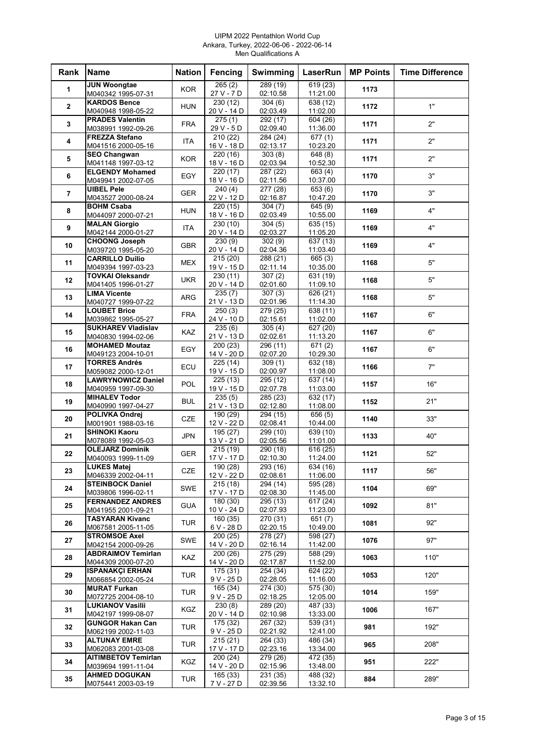#### UIPM 2022 Pentathlon World Cup Ankara, Turkey, 2022-06-06 - 2022-06-14 Men Qualifications A

| Rank           | <b>Name</b>                                   | <b>Nation</b> | Fencing                              | Swimming              | <b>LaserRun</b>                   | <b>MP Points</b> | <b>Time Difference</b> |
|----------------|-----------------------------------------------|---------------|--------------------------------------|-----------------------|-----------------------------------|------------------|------------------------|
| 1              | <b>JUN Woongtae</b><br>M040342 1995-07-31     | <b>KOR</b>    | 265(2)                               | 289(19)<br>02:10.58   | 619(23)                           | 1173             |                        |
|                | <b>KARDOS Bence</b>                           |               | 27 V - 7 D<br>230 (12)               | 304(6)                | 11:21.00<br>638 (12)              |                  |                        |
| $\mathbf{2}$   | M040948 1998-05-22                            | <b>HUN</b>    | 20 V - 14 D                          | 02:03.49              | 11:02.00                          | 1172             | 1"                     |
| 3              | <b>PRADES Valentin</b><br>M038991 1992-09-26  | <b>FRA</b>    | $\overline{275(1)}$<br>29 V - 5 D    | 292 (17)<br>02:09.40  | 604 (26)<br>11:36.00              | 1171             | 2"                     |
| 4              | <b>FREZZA Stefano</b>                         | <b>ITA</b>    | 210 (22)                             | 284 (24)              | $\overline{677}$ (1)              | 1171             | 2"                     |
|                | M041516 2000-05-16                            |               | 16 V - 18 D                          | 02:13.17              | 10:23.20                          |                  |                        |
| 5              | <b>SEO Changwan</b><br>M041148 1997-03-12     | <b>KOR</b>    | 220 (16)<br>18 V - 16 D              | 303(8)<br>02:03.94    | 648 (8)<br>10:52.30               | 1171             | 2"                     |
| 6              | <b>ELGENDY Mohamed</b>                        | EGY           | 220 (17)                             | 287 (22)              | $\overline{663}$ (4)              | 1170             | 3"                     |
|                | M049941 2002-07-05<br><b>UIBEL Pele</b>       |               | 18 V - 16 D<br>$\frac{1}{240(4)}$    | 02:11.56<br>277(28)   | 10:37.00<br>$\overline{653}$ (6)  |                  |                        |
| $\overline{7}$ | M043527 2000-08-24                            | <b>GER</b>    | 22 V - 12 D                          | 02:16.87              | 10:47.20                          | 1170             | 3"                     |
| 8              | BOHM Csaba                                    | <b>HUN</b>    | 220 (15)                             | 304(7)                | 645(9)                            | 1169             | 4"                     |
|                | M044097 2000-07-21<br><b>MALAN Giorgio</b>    |               | 18 V - 16 D<br>230 (10)              | 02:03.49<br>304(5)    | 10:55.00<br>635 (15)              |                  |                        |
| 9              | M042144 2000-01-27                            | ITA           | 20 V - 14 D                          | 02:03.27              | 11:05.20                          | 1169             | 4"                     |
| 10             | <b>CHOONG Joseph</b><br>M039720 1995-05-20    | <b>GBR</b>    | 230(9)<br>20 V - 14 D                | 302(9)<br>02:04.36    | 637(13)<br>11:03.40               | 1169             | 4"                     |
| 11             | <b>CARRILLO Duilio</b>                        | <b>MEX</b>    | $\overline{215}$ (20)                | 288 (21)              | 665(3)                            | 1168             | 5"                     |
|                | M049394 1997-03-23                            |               | 19 V - 15 D                          | 02:11.14              | 10:35.00                          |                  |                        |
| 12             | <b>TOVKAI Oleksandr</b><br>M041405 1996-01-27 | <b>UKR</b>    | 230 (11)<br>20 V - 14 D              | 307(2)<br>02:01.60    | 631 (19)<br>11:09.10              | 1168             | 5"                     |
| 13             | <b>LIMA Vicente</b>                           | <b>ARG</b>    | 235(7)                               | 307(3)                | $\sqrt{626}$ (21)                 | 1168             | 5"                     |
|                | M040727 1999-07-22<br><b>LOUBET Brice</b>     |               | 21 V - 13 D<br>250(3)                | 02:01.96<br>279 (25)  | 11:14.30<br>638 (11)              |                  |                        |
| 14             | M039862 1995-05-27                            | <b>FRA</b>    | 24 V - 10 D                          | 02:15.61              | 11:02.00                          | 1167             | 6"                     |
| 15             | <b>SUKHAREV Vladislav</b>                     | KAZ           | 235(6)                               | 305(4)                | 627 (20)                          | 1167             | 6"                     |
|                | M040830 1994-02-06<br><b>MOHAMED Moutaz</b>   |               | 21 V - 13 D<br>200 (23)              | 02:02.61<br>296 (11)  | 11:13.20<br>671(2)                |                  |                        |
| 16             | M049123 2004-10-01                            | EGY           | 14 V - 20 D                          | 02:07.20              | 10:29.30                          | 1167             | 6"                     |
| 17             | <b>TORRES Andrés</b><br>M059082 2000-12-01    | ECU           | 225 (14)<br>19 V - 15 D              | 309(1)<br>02:00.97    | $\sqrt{632}$ (18)<br>11:08.00     | 1166             | 7"                     |
| 18             | <b>LAWRYNOWICZ Daniel</b>                     | POL           | 225(13)                              | 295 (12)              | 637 (14)                          | 1157             | 16"                    |
|                | M040959 1997-09-30<br><b>MIHALEV Todor</b>    |               | 19 V - 15 D                          | 02:07.78              | 11:03.00                          |                  |                        |
| 19             | M040990 1997-04-27                            | <b>BUL</b>    | 235(5)<br>21 V - 13 D                | 285 (23)<br>02:12.80  | 632 (17)<br>11:08.00              | 1152             | 21"                    |
| 20             | POLIVKA Ondrej                                | CZE           | 190 (29)                             | 294(15)               | 656(5)                            | 1140             | 33"                    |
|                | M001901 1988-03-16<br><b>SHINOKI Kaoru</b>    |               | 12 V - 22 D<br>195(27)               | 02:08.41<br>299 (10)  | 10:44.00<br>639 (10)              |                  |                        |
| 21             | M078089 1992-05-03                            | <b>JPN</b>    | 13 V - 21 D                          | 02:05.56              | 11:01.00                          | 1133             | 40"                    |
| 22             | <b>OLEJARZ Dominik</b><br>M040093 1999-11-09  | <b>GER</b>    | 215 (19)<br>17 V - 17 D              | 290 (18)<br>02:10.30  | $\overline{616}$ (25)<br>11:24.00 | 1121             | 52"                    |
|                | <b>LUKES Matej</b>                            |               | 190(28)                              | 293(16)               | 634(16)                           |                  |                        |
| 23             | M046339 2002-04-11                            | CZE           | 12 V - 22 D                          | 02:08.61              | 11:06.00                          | 1117             | 56"                    |
| 24             | <b>STEINBOCK Daniel</b><br>M039806 1996-02-11 | SWE           | 215(18)<br>17 V - 17 D               | 294 (14)<br>02:08.30  | 595 (28)<br>11:45.00              | 1104             | 69"                    |
| 25             | <b>FERNANDEZ ANDRES</b>                       | <b>GUA</b>    | 180 (30)                             | $\overline{295}$ (13) | 617 (24)                          | 1092             | 81"                    |
|                | M041955 2001-09-21<br><b>TASYARAN Kivanc</b>  |               | 10 V - 24 D<br>$\overline{160}$ (35) | 02:07.93<br>270 (31)  | 11:23.00<br>651(7)                |                  |                        |
| 26             | M067581 2005-11-05                            | TUR           | 6 V - 28 D                           | 02:20.15              | 10:49.00                          | 1081             | 92"                    |
| 27             | <b>STROMSOE Axel</b><br>M042154 2000-09-26    | SWE           | 200(25)<br>14 V - 20 D               | 278 (27)<br>02:16.14  | 598 (27)<br>11:42.00              | 1076             | 97"                    |
| 28             | <b>ABDRAIMOV Temirlan</b>                     |               | 200(26)                              | 275 (29)              | 588 (29)                          |                  | 110"                   |
|                | M044309 2000-07-20                            | KAZ           | 14 V - 20 D                          | 02:17.87              | 11:52.00                          | 1063             |                        |
| 29             | <b>ISPANAKÇI ERHAN</b><br>M066854 2002-05-24  | <b>TUR</b>    | 175 (31)<br>9 V - 25 D               | 254 (34)<br>02:28.05  | 624 (22)<br>11:16.00              | 1053             | 120"                   |
| 30             | <b>MURAT Furkan</b>                           | <b>TUR</b>    | 165 (34)                             | 274 (30)              | 575 (30)                          | 1014             | 159"                   |
|                | M072725 2004-08-10<br><b>LUKIANOV Vasilii</b> |               | 9 V - 25 D<br>230(8)                 | 02:18.25<br>289 (20)  | 12:05.00<br>487 (33)              |                  |                        |
| 31             | M042197 1999-08-07                            | KGZ           | 20 V - 14 D                          | 02:10.98              | 13:33.00                          | 1006             | 167"                   |
| 32             | <b>GUNGOR Hakan Can</b>                       | <b>TUR</b>    | 175 (32)                             | 267 (32)              | 539 (31)                          | 981              | 192"                   |
|                | M062199 2002-11-03<br><b>ALTUNAY EMRE</b>     |               | 9 V - 25 D<br>215(21)                | 02:21.92<br>264 (33)  | 12:41.00<br>486 (34)              |                  |                        |
| 33             | M062083 2001-03-08                            | TUR           | 17 V - 17 D                          | 02:23.16              | 13:34.00                          | 965              | 208"                   |
| 34             | AITIMBETOV Temirlan<br>M039694 1991-11-04     | KGZ.          | 200(24)<br>14 V - 20 D               | 279 (26)<br>02:15.96  | 472 (35)<br>13:48.00              | 951              | 222"                   |
| 35             | <b>AHMED DOGUKAN</b>                          | <b>TUR</b>    | 165(33)                              | 231 (35)              | 488 (32)                          | 884              | 289"                   |
|                | M075441 2003-03-19                            |               | 7 V - 27 D                           | 02:39.56              | 13:32.10                          |                  |                        |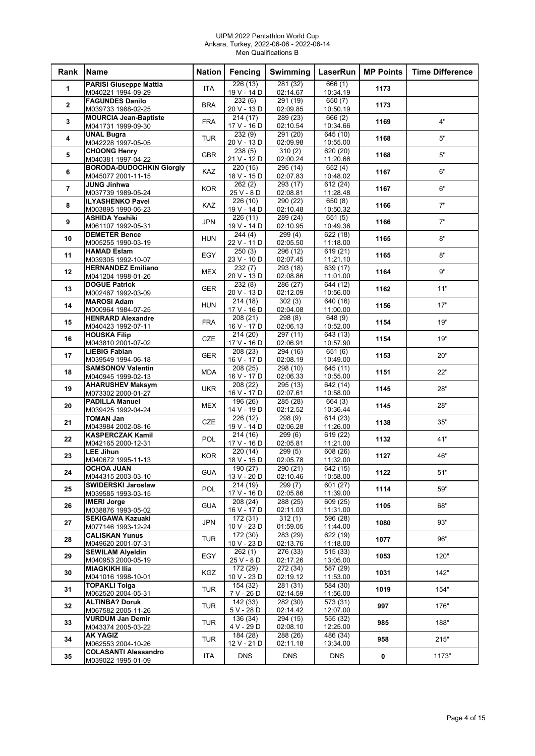#### UIPM 2022 Pentathlon World Cup Ankara, Turkey, 2022-06-06 - 2022-06-14 Men Qualifications B

| Rank           | <b>Name</b>                                           | <b>Nation</b> | Fencing                 | Swimming                         | LaserRun                      | <b>MP Points</b> | <b>Time Difference</b> |
|----------------|-------------------------------------------------------|---------------|-------------------------|----------------------------------|-------------------------------|------------------|------------------------|
| 1              | <b>PARISI Giuseppe Mattia</b><br>M040221 1994-09-29   | ITA           | 226(13)<br>19 V - 14 D  | 281 (32)<br>02:14.67             | 666(1)<br>10:34.19            | 1173             |                        |
|                | <b>FAGUNDES Danilo</b>                                |               | 232(6)                  | 291 (19)                         | 650(7)                        |                  |                        |
| $\overline{2}$ | M039733 1988-02-25                                    | <b>BRA</b>    | 20 V - 13 D             | 02:09.85                         | 10:50.19                      | 1173             |                        |
| 3              | <b>MOURCIA Jean-Baptiste</b><br>M041731 1999-09-30    | <b>FRA</b>    | 214(17)<br>17 V - 16 D  | 289 (23)<br>02:10.54             | 666 (2)<br>10:34.66           | 1169             | 4"                     |
| 4              | <b>UNAL Bugra</b><br>M042228 1997-05-05               | <b>TUR</b>    | 232(9)<br>20 V - 13 D   | 291 (20)<br>02:09.98             | 645 (10)<br>10:55.00          | 1168             | 5"                     |
| 5              | <b>CHOONG Henry</b>                                   | <b>GBR</b>    | 238(5)                  | 310(2)                           | 620 (20)                      | 1168             | 5"                     |
| 6              | M040381 1997-04-22<br><b>BORODA-DUDOCHKIN Giorgiy</b> | <b>KAZ</b>    | 21 V - 12 D<br>220(15)  | 02:00.24<br>295 (14)             | 11:20.66<br>652(4)            | 1167             | 6"                     |
|                | M045077 2001-11-15<br><b>JUNG Jinhwa</b>              |               | 18 V - 15 D<br>262(2)   | 02:07.83<br>293 (17)             | 10:48.02<br>612 (24)          |                  |                        |
| $\overline{7}$ | M037739 1989-05-24                                    | <b>KOR</b>    | 25 V - 8 D              | 02:08.81                         | 11:28.48                      | 1167             | 6"                     |
| 8              | <b>ILYASHENKO Pavel</b><br>M003895 1990-06-23         | KAZ           | 226(10)<br>19 V - 14 D  | 290 (22)<br>02:10.48             | 650(8)<br>10:50.32            | 1166             | 7"                     |
| 9              | <b>ASHIDA Yoshiki</b><br>M061107 1992-05-31           | <b>JPN</b>    | 226(11)<br>19 V - 14 D  | 289 (24)<br>02:10.95             | 651(5)<br>10:49.36            | 1166             | 7"                     |
| 10             | <b>DEMETER Bence</b>                                  | <b>HUN</b>    | 244 (4)                 | 299(4)                           | 622 (18)                      | 1165             | 8"                     |
|                | M005255 1990-03-19<br><b>HAMAD Eslam</b>              |               | 22 V - 11 D<br>250(3)   | 02:05.50<br>296(12)              | 11:18.00<br>619 (21)          |                  |                        |
| 11             | M039305 1992-10-07                                    | EGY           | 23 V - 10 D             | 02:07.45                         | 11:21.10                      | 1165             | 8"                     |
| 12             | <b>HERNANDEZ Emiliano</b><br>M041204 1998-01-26       | <b>MEX</b>    | 232(7)<br>20 V - 13 D   | 293 (18)<br>02:08.86             | 639 (17)<br>11:01.00          | 1164             | 9"                     |
| 13             | <b>DOGUE Patrick</b><br>M002487 1992-03-09            | <b>GER</b>    | 232(8)<br>20 V - 13 D   | 286 (27)<br>02:12.09             | 644 (12)<br>10:56.00          | 1162             | 11"                    |
| 14             | <b>MAROSI Adam</b>                                    | <b>HUN</b>    | 214(18)                 | 302(3)                           | $\sqrt{640(16)}$              | 1156             | 17"                    |
|                | M000964 1984-07-25<br><b>HENRARD Alexandre</b>        |               | 17 V - 16 D<br>208(21)  | 02:04.08<br>298(8)               | 11:00.00<br>648 (9)           |                  |                        |
| 15             | M040423 1992-07-11<br><b>HOUSKA Filip</b>             | <b>FRA</b>    | 16 V - 17 D<br>214(20)  | 02:06.13<br>297 (11)             | 10:52.00<br>643 (13)          | 1154             | 19"                    |
| 16             | M043810 2001-07-02                                    | <b>CZE</b>    | 17 V - 16 D             | 02:06.91                         | 10:57.90                      | 1154             | 19"                    |
| 17             | <b>LIEBIG Fabian</b><br>M039549 1994-06-18            | <b>GER</b>    | 208(23)<br>16 V - 17 D  | 294 (16)<br>02:08.19             | 651 (6)<br>10:49.00           | 1153             | 20"                    |
| 18             | <b>SAMSONOV Valentin</b><br>M040945 1999-02-13        | <b>MDA</b>    | 208 (25)<br>16 V - 17 D | 298 (10)<br>02:06.33             | $\sqrt{645}$ (11)<br>10:55.00 | 1151             | 22"                    |
|                | <b>AHARUSHEV Maksym</b>                               | <b>UKR</b>    | 208 (22)                | 295 (13)                         | 642 (14)                      |                  | 28"                    |
| 19             | M073302 2000-01-27<br><b>PADILLA Manuel</b>           |               | 16 V - 17 D<br>196 (26) | 02:07.61<br>285 (28)             | 10:58.00<br>664 (3)           | 1145             |                        |
| 20             | M039425 1992-04-24                                    | <b>MEX</b>    | 14 V - 19 D             | 02:12.52                         | 10:36.44                      | 1145             | 28"                    |
| 21             | <b>TOMAN Jan</b><br>M043984 2002-08-16                | <b>CZE</b>    | 226(12)<br>19 V - 14 D  | 298 (9)<br>02:06.28              | 614 (23)<br>11:26.00          | 1138             | 35"                    |
| 22             | <b>KASPERCZAK Kamil</b>                               | <b>POL</b>    | 214(16)                 | 299(6)                           | 619 (22)                      | 1132             | 41"                    |
| 23             | M042165 2000-12-31<br><b>LEE Jihun</b>                | <b>KOR</b>    | 17 V - 16 D<br>220 (14) | 02:05.81<br>$\overline{299}$ (5) | 11:21.00<br>608 (26)          | 1127             | 46"                    |
|                | M040672 1995-11-13                                    |               | 18 V - 15 D             | 02:05.78                         | 11:32.00                      |                  |                        |
| 24             | <b>OCHOA JUAN</b><br>M044315 2003-03-10               | <b>GUA</b>    | 190 (27)<br>13 V - 20 D | 290 (21)<br>02:10.46             | 642 (15)<br>10:58.00          | 1122             | 51"                    |
| 25             | SWIDERSKI Jaroslaw<br>M039585 1993-03-15              | POL           | 214(19)<br>17 V - 16 D  | 299 (7)<br>02:05.86              | 601 (27)<br>11:39.00          | 1114             | 59"                    |
| 26             | <b>IMERI Jorge</b><br>M038876 1993-05-02              | <b>GUA</b>    | 208(24)<br>16 V - 17 D  | 288 (25)<br>02:11.03             | $\sqrt{609}$ (25)<br>11:31.00 | 1105             | 68"                    |
| 27             | <b>SEKIGAWA Kazuaki</b>                               | <b>JPN</b>    | 172(31)                 | 312(1)                           | 596 (28)                      | 1080             | 93"                    |
|                | M077146 1993-12-24<br><b>CALISKAN Yunus</b>           |               | 10 V - 23 D<br>172 (30) | 01:59.05<br>283 (29)             | 11:44.00<br>622 (19)          |                  |                        |
| 28             | M049620 2001-07-31<br><b>SEWILAM Alyeldin</b>         | <b>TUR</b>    | 10 V - 23 D<br>262(1)   | 02:13.76<br>276 (33)             | 11:18.00<br>515(33)           | 1077             | 96"                    |
| 29             | M040953 2000-05-19                                    | EGY           | 25 V - 8 D              | 02:17.26                         | 13:05.00                      | 1053             | 120"                   |
| 30             | <b>MIAGKIKH Ilia</b><br>M041016 1998-10-01            | KGZ           | 172 (29)<br>10 V - 23 D | 272 (34)<br>02:19.12             | 587 (29)<br>11:53.00          | 1031             | 142"                   |
| 31             | <b>TOPAKLI Tolga</b><br>M062520 2004-05-31            | <b>TUR</b>    | 154 (32)<br>7 V - 26 D  | 281 (31)<br>02:14.59             | 584 (30)<br>11:56.00          | 1019             | 154"                   |
| 32             | <b>ALTINBA? Doruk</b>                                 | <b>TUR</b>    | 142 (33)                | 282 (30)                         | $\overline{573}$ (31)         | 997              | 176"                   |
| 33             | M067582 2005-11-26<br><b>VURDUM Jan Demir</b>         | <b>TUR</b>    | 5 V - 28 D<br>136 (34)  | 02:14.42<br>294 (15)             | 12:07.00<br>555 (32)          | 985              | 188"                   |
|                | M043374 2005-03-22<br><b>AK YAGIZ</b>                 |               | 4 V - 29 D<br>184 (28)  | 02:08.10<br>288 (26)             | 12:25.00<br>486 (34)          |                  |                        |
| 34             | M062553 2004-10-26                                    | <b>TUR</b>    | 12 V - 21 D             | 02:11.18                         | 13:34.00                      | 958              | 215"                   |
| 35             | <b>COLASANTI Alessandro</b><br>M039022 1995-01-09     | <b>ITA</b>    | <b>DNS</b>              | <b>DNS</b>                       | <b>DNS</b>                    | 0                | 1173"                  |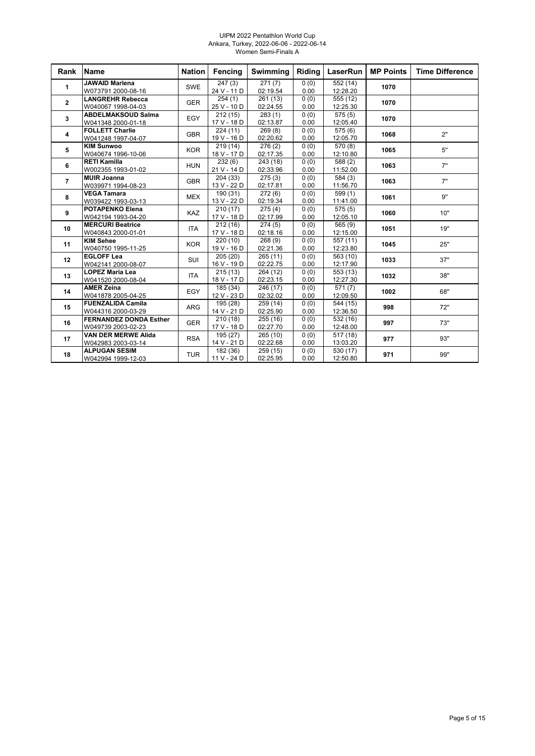#### UIPM 2022 Pentathlon World Cup Ankara, Turkey, 2022-06-06 - 2022-06-14 Women Semi-Finals A

| Rank           | <b>Name</b>                                         | <b>Nation</b> | Fencing                          | <b>Swimming</b>                  | Riding       | LaserRun                         | <b>MP Points</b> | <b>Time Difference</b> |
|----------------|-----------------------------------------------------|---------------|----------------------------------|----------------------------------|--------------|----------------------------------|------------------|------------------------|
| $\mathbf{1}$   | <b>JAWAID Marlena</b><br>W073791 2000-08-16         | SWE           | 247(3)<br>24 V - 11 D            | $\overline{271}$ (7)<br>02:19.54 | 0(0)<br>0.00 | 552 (14)<br>12:28.20             | 1070             |                        |
| $\overline{2}$ | <b>LANGREHR Rebecca</b><br>W040067 1998-04-03       | <b>GER</b>    | 254(1)<br>25 V - 10 D            | 261(13)<br>02:24.55              | 0(0)<br>0.00 | 555 (12)<br>12:25.30             | 1070             |                        |
| $\mathbf{3}$   | <b>ABDELMAKSOUD Salma</b><br>W041348 2000-01-18     | EGY           | 212(15)<br>17 V - 18 D           | 283(1)<br>02:13.87               | 0(0)<br>0.00 | 575(5)<br>12:05.40               | 1070             |                        |
| 4              | <b>FOLLETT Charlie</b><br>W041248 1997-04-07        | <b>GBR</b>    | 224(11)<br>19 V - 16 D           | 269(8)<br>02:20.62               | 0(0)<br>0.00 | 575(6)<br>12:05.70               | 1068             | 2"                     |
| 5              | <b>KIM Sunwoo</b><br>W040674 1996-10-06             | <b>KOR</b>    | 219(14)<br>18 V - 17 D           | 276(2)<br>02:17.35               | 0(0)<br>0.00 | 570 (8)<br>12:10.80              | 1065             | 5"                     |
| 6              | <b>RETI Kamilla</b><br>W002355 1993-01-02           | <b>HUN</b>    | 232(6)<br>21 V - 14 D            | 243 (18)<br>02:33.96             | 0(0)<br>0.00 | $\overline{588}$ (2)<br>11:52.00 | 1063             | 7"                     |
| $\overline{7}$ | <b>MUIR Joanna</b><br>W039971 1994-08-23            | <b>GBR</b>    | $\sqrt{204}$ (33)<br>13 V - 22 D | 275(3)<br>02:17.81               | 0(0)<br>0.00 | 584 (3)<br>11:56.70              | 1063             | 7"                     |
| 8              | <b>VEGA Tamara</b><br>W039422 1993-03-13            | <b>MEX</b>    | 190 (31)<br>13 V - 22 D          | 272(6)<br>02:19.34               | 0(0)<br>0.00 | 599(1)<br>11:41.00               | 1061             | 9"                     |
| 9              | <b>POTAPENKO Elena</b><br>W042194 1993-04-20        | <b>KAZ</b>    | 210(17)<br>17 V - 18 D           | 275(4)<br>02:17.99               | 0(0)<br>0.00 | 575(5)<br>12:05.10               | 1060             | 10"                    |
| 10             | <b>MERCURI Beatrice</b><br>W040843 2000-01-01       | <b>ITA</b>    | 212 (16)<br>17 V - 18 D          | 274(5)<br>02:18.16               | 0(0)<br>0.00 | 565(9)<br>12:15.00               | 1051             | 19"                    |
| 11             | <b>KIM Sehee</b><br>W040750 1995-11-25              | <b>KOR</b>    | 220(10)<br>19 V - 16 D           | 268(9)<br>02:21.36               | 0(0)<br>0.00 | 557 (11)<br>12:23.80             | 1045             | 25"                    |
| 12             | <b>EGLOFF Lea</b><br>W042141 2000-08-07             | SUI           | 205 (20)<br>16 V - 19 D          | 265(11)<br>02:22.75              | 0(0)<br>0.00 | 563 (10)<br>12:17.90             | 1033             | 37"                    |
| 13             | <b>LOPEZ Maria Lea</b><br>W041520 2000-08-04        | <b>ITA</b>    | 215(13)<br>18 V - 17 D           | 264 (12)<br>02:23.15             | 0(0)<br>0.00 | 553 (13)<br>12:27.30             | 1032             | 38"                    |
| 14             | <b>AMER Zeina</b><br>W041878 2005-04-25             | EGY           | 185(34)<br>12 V - 23 D           | 246 (17)<br>02:32.02             | 0(0)<br>0.00 | 571(7)<br>12:09.50               | 1002             | 68"                    |
| 15             | <b>FUENZALIDA Camila</b><br>W044316 2000-03-29      | <b>ARG</b>    | 195 (28)<br>14 V - 21 D          | 259 (14)<br>02:25.90             | 0(0)<br>0.00 | 544 (15)<br>12:36.50             | 998              | 72"                    |
| 16             | <b>FERNANDEZ DONDA Esther</b><br>W049739 2003-02-23 | <b>GER</b>    | 210(18)<br>17 V - 18 D           | 255(16)<br>02:27.70              | 0(0)<br>0.00 | 532 (16)<br>12:48.00             | 997              | 73"                    |
| 17             | <b>VAN DER MERWE Alida</b><br>W042983 2003-03-14    | <b>RSA</b>    | 195 (27)<br>14 V - 21 D          | 265(10)<br>02:22.68              | 0(0)<br>0.00 | 517(18)<br>13:03.20              | 977              | 93"                    |
| 18             | <b>ALPUGAN SESIM</b><br>W042994 1999-12-03          | <b>TUR</b>    | 182 (36)<br>11 V - 24 D          | 259(15)<br>02:25.95              | 0(0)<br>0.00 | 530 (17)<br>12:50.80             | 971              | 99"                    |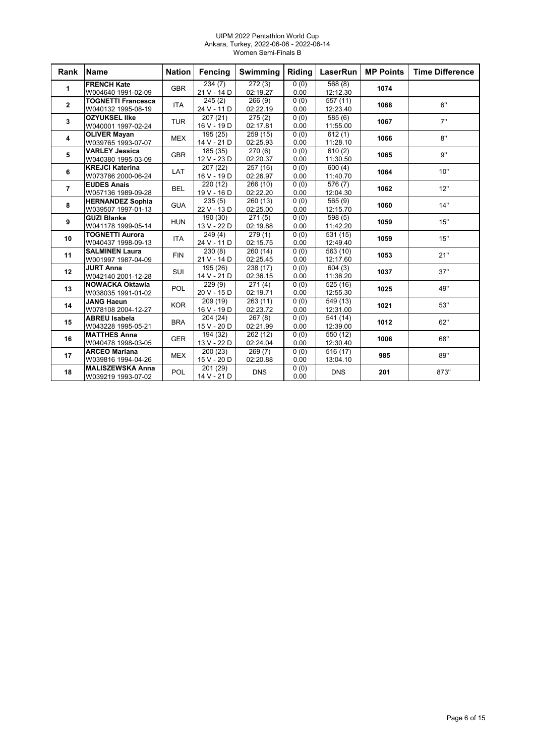#### UIPM 2022 Pentathlon World Cup Ankara, Turkey, 2022-06-06 - 2022-06-14 Women Semi-Finals B

| Rank           | <b>Name</b>                                     | <b>Nation</b> | <b>Fencing</b>          | <b>Swimming</b>      | Riding       | LaserRun             | <b>MP Points</b> | <b>Time Difference</b> |
|----------------|-------------------------------------------------|---------------|-------------------------|----------------------|--------------|----------------------|------------------|------------------------|
| 1              | <b>FRENCH Kate</b><br>W004640 1991-02-09        | <b>GBR</b>    | 234(7)<br>21 V - 14 D   | 272(3)<br>02:19.27   | 0(0)<br>0.00 | 568(8)<br>12:12.30   | 1074             |                        |
| $\mathbf 2$    | <b>TOGNETTI Francesca</b><br>W040132 1995-08-19 | <b>ITA</b>    | 245(2)<br>24 V - 11 D   | 266(9)<br>02:22.19   | 0(0)<br>0.00 | 557 (11)<br>12:23.40 | 1068             | 6"                     |
| 3              | <b>OZYUKSEL IIke</b><br>W040001 1997-02-24      | <b>TUR</b>    | 207(21)<br>16 V - 19 D  | 275(2)<br>02:17.81   | 0(0)<br>0.00 | 585 (6)<br>11:55.00  | 1067             | 7"                     |
| 4              | <b>OLIVER Mayan</b><br>W039765 1993-07-07       | <b>MEX</b>    | 195 (25)<br>14 V - 21 D | 259 (15)<br>02:25.93 | 0(0)<br>0.00 | 612(1)<br>11:28.10   | 1066             | 8"                     |
| 5              | <b>VARLEY Jessica</b><br>W040380 1995-03-09     | <b>GBR</b>    | 185(35)<br>12 V - 23 D  | 270(6)<br>02:20.37   | 0(0)<br>0.00 | 610(2)<br>11:30.50   | 1065             | 9"                     |
| 6              | <b>KREJCI Katerina</b><br>W073786 2000-06-24    | <b>LAT</b>    | 207 (22)<br>16 V - 19 D | 257 (16)<br>02:26.97 | 0(0)<br>0.00 | 600(4)<br>11:40.70   | 1064             | 10"                    |
| $\overline{7}$ | <b>EUDES Anais</b><br>W057136 1989-09-28        | <b>BEL</b>    | 220(12)<br>19 V - 16 D  | 266 (10)<br>02:22.20 | 0(0)<br>0.00 | 576 (7)<br>12:04.30  | 1062             | 12"                    |
| 8              | <b>HERNANDEZ Sophia</b><br>W039507 1997-01-13   | <b>GUA</b>    | 235(5)<br>22 V - 13 D   | 260 (13)<br>02:25.00 | 0(0)<br>0.00 | 565 (9)<br>12:15.70  | 1060             | 14"                    |
| 9              | <b>GUZI Blanka</b><br>W041178 1999-05-14        | <b>HUN</b>    | 190 (30)<br>13 V - 22 D | 271(5)<br>02:19.88   | 0(0)<br>0.00 | 598 (5)<br>11:42.20  | 1059             | 15"                    |
| 10             | <b>TOGNETTI Aurora</b><br>W040437 1998-09-13    | <b>ITA</b>    | 249(4)<br>24 V - 11 D   | 279(1)<br>02:15.75   | 0(0)<br>0.00 | 531(15)<br>12:49.40  | 1059             | 15"                    |
| 11             | <b>SALMINEN Laura</b><br>W001997 1987-04-09     | <b>FIN</b>    | 230(8)<br>21 V - 14 D   | 260(14)<br>02:25.45  | 0(0)<br>0.00 | 563 (10)<br>12:17.60 | 1053             | 21"                    |
| 12             | <b>JURT Anna</b><br>W042140 2001-12-28          | SUI           | 195 (26)<br>14 V - 21 D | 238 (17)<br>02:36.15 | 0(0)<br>0.00 | 604(3)<br>11:36.20   | 1037             | 37"                    |
| 13             | <b>NOWACKA Oktawia</b><br>W038035 1991-01-02    | <b>POL</b>    | 229(9)<br>20 V - 15 D   | 271(4)<br>02:19.71   | 0(0)<br>0.00 | 525 (16)<br>12:55.30 | 1025             | 49"                    |
| 14             | <b>JANG Haeun</b><br>W078108 2004-12-27         | <b>KOR</b>    | 209 (19)<br>16 V - 19 D | 263(11)<br>02:23.72  | 0(0)<br>0.00 | 549 (13)<br>12:31.00 | 1021             | 53"                    |
| 15             | <b>ABREU Isabela</b><br>W043228 1995-05-21      | <b>BRA</b>    | 204 (24)<br>15 V - 20 D | 267(8)<br>02:21.99   | 0(0)<br>0.00 | 541 (14)<br>12:39.00 | 1012             | 62"                    |
| 16             | <b>MATTHES Anna</b><br>W040478 1998-03-05       | <b>GER</b>    | 194 (32)<br>13 V - 22 D | 262 (12)<br>02:24.04 | 0(0)<br>0.00 | 550 (12)<br>12:30.40 | 1006             | 68"                    |
| 17             | <b>ARCEO Mariana</b><br>W039816 1994-04-26      | <b>MEX</b>    | 200(23)<br>15 V - 20 D  | 269(7)<br>02:20.88   | 0(0)<br>0.00 | 516 (17)<br>13:04.10 | 985              | 89"                    |
| 18             | <b>MALISZEWSKA Anna</b><br>W039219 1993-07-02   | <b>POL</b>    | 201 (29)<br>14 V - 21 D | <b>DNS</b>           | 0(0)<br>0.00 | <b>DNS</b>           | 201              | 873"                   |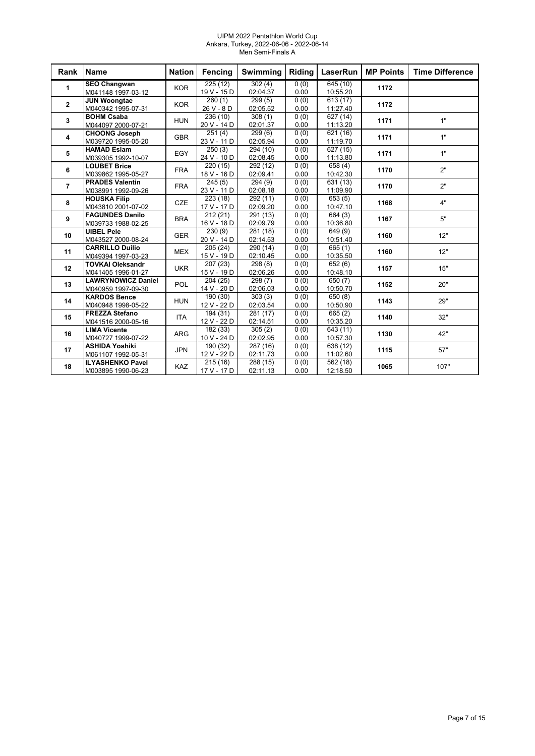#### UIPM 2022 Pentathlon World Cup Ankara, Turkey, 2022-06-06 - 2022-06-14 Men Semi-Finals A

| Rank           | <b>Name</b>               | <b>Nation</b> | <b>Fencing</b>        | <b>Swimming</b> | Riding | LaserRun             | <b>MP Points</b> | <b>Time Difference</b> |
|----------------|---------------------------|---------------|-----------------------|-----------------|--------|----------------------|------------------|------------------------|
| 1              | <b>SEO Changwan</b>       | <b>KOR</b>    | 225(12)               | 302(4)          | 0(0)   | 645 (10)             | 1172             |                        |
|                | M041148 1997-03-12        |               | 19 V - 15 D           | 02:04.37        | 0.00   | 10:55.20             |                  |                        |
| $\mathbf{2}$   | <b>JUN Woongtae</b>       | <b>KOR</b>    | 260(1)                | 299(5)          | 0(0)   | 613 (17)             | 1172             |                        |
|                | M040342 1995-07-31        |               | 26 V - 8 D            | 02:05.52        | 0.00   | 11:27.40             |                  |                        |
| 3              | <b>BOHM Csaba</b>         | <b>HUN</b>    | 236 (10)              | 308(1)          | 0(0)   | 627 (14)             | 1171             | 1"                     |
|                | M044097 2000-07-21        |               | 20 V - 14 D           | 02:01.37        | 0.00   | 11:13.20             |                  |                        |
| 4              | <b>CHOONG Joseph</b>      | <b>GBR</b>    | 251(4)                | 299(6)          | 0(0)   | 621 (16)             | 1171             | 1"                     |
|                | M039720 1995-05-20        |               | 23 V - 11 D           | 02:05.94        | 0.00   | 11:19.70             |                  |                        |
| 5              | <b>HAMAD Eslam</b>        | EGY           | 250(3)                | 294 (10)        | 0(0)   | 627 (15)             | 1171             | 1"                     |
|                | M039305 1992-10-07        |               | 24 V - 10 D           | 02:08.45        | 0.00   | 11:13.80             |                  |                        |
| 6              | <b>LOUBET Brice</b>       | <b>FRA</b>    | 220(15)               | 292 (12)        | 0(0)   | $\overline{658}$ (4) | 1170             | 2"                     |
|                | M039862 1995-05-27        |               | 18 V - 16 D           | 02:09.41        | 0.00   | 10:42.30             |                  |                        |
| $\overline{7}$ | <b>PRADES Valentin</b>    | <b>FRA</b>    | 245(5)                | 294(9)          | 0(0)   | 631 (13)             | 1170             | 2"                     |
|                | M038991 1992-09-26        |               | 23 V - 11 D           | 02:08.18        | 0.00   | 11:09.90             |                  |                        |
| 8              | <b>HOUSKA Filip</b>       | <b>CZE</b>    | $\overline{223}$ (18) | 292(11)         | 0(0)   | 653(5)               | 1168             | 4"                     |
|                | M043810 2001-07-02        |               | 17 V - 17 D           | 02:09.20        | 0.00   | 10:47.10             |                  |                        |
| 9              | <b>FAGUNDES Danilo</b>    | <b>BRA</b>    | 212(21)               | 291 (13)        | 0(0)   | 664 (3)              | 1167             | 5"                     |
|                | M039733 1988-02-25        |               | 16 V - 18 D           | 02:09.79        | 0.00   | 10:36.80             |                  |                        |
| 10             | <b>UIBEL Pele</b>         | <b>GER</b>    | 230(9)                | 281 (18)        | 0(0)   | 649 (9)              | 1160             | 12"                    |
|                | M043527 2000-08-24        |               | 20 V - 14 D           | 02:14.53        | 0.00   | 10:51.40             |                  |                        |
| 11             | <b>CARRILLO Duilio</b>    | <b>MEX</b>    | 205(24)               | 290 (14)        | 0(0)   | 665 (1)              | 1160             | 12"                    |
|                | M049394 1997-03-23        |               | 15 V - 19 D           | 02:10.45        | 0.00   | 10:35.50             |                  |                        |
| 12             | <b>TOVKAI Oleksandr</b>   | <b>UKR</b>    | 207(23)               | 298 (8)         | 0(0)   | $\sqrt{652}$ (6)     | 1157             | 15"                    |
|                | M041405 1996-01-27        |               | 15 V - 19 D           | 02:06.26        | 0.00   | 10:48.10             |                  |                        |
| 13             | <b>LAWRYNOWICZ Daniel</b> | <b>POL</b>    | 204 (25)              | 298 (7)         | 0(0)   | $\sqrt{650}$ (7)     | 1152             | 20"                    |
|                | M040959 1997-09-30        |               | 14 V - 20 D           | 02:06.03        | 0.00   | 10:50.70             |                  |                        |
| 14             | <b>KARDOS Bence</b>       | <b>HUN</b>    | 190 (30)              | 303(3)          | 0(0)   | 650 (8)              | 1143             | 29"                    |
|                | M040948 1998-05-22        |               | 12 V - 22 D           | 02:03.54        | 0.00   | 10:50.90             |                  |                        |
| 15             | <b>FREZZA Stefano</b>     | <b>ITA</b>    | 194 (31)              | 281 (17)        | 0(0)   | 665(2)               | 1140             | 32"                    |
|                | M041516 2000-05-16        |               | 12 V - 22 D           | 02:14.51        | 0.00   | 10:35.20             |                  |                        |
| 16             | <b>LIMA Vicente</b>       | <b>ARG</b>    | 182 (33)              | 305(2)          | 0(0)   | 643 (11)             | 1130             | 42"                    |
|                | M040727 1999-07-22        |               | 10 V - 24 D           | 02:02.95        | 0.00   | 10:57.30             |                  |                        |
| 17             | <b>ASHIDA Yoshiki</b>     | <b>JPN</b>    | 190 (32)              | 287 (16)        | 0(0)   | 638 (12)             | 1115             | 57"                    |
|                | M061107 1992-05-31        |               | 12 V - 22 D           | 02:11.73        | 0.00   | 11:02.60             |                  |                        |
| 18             | <b>ILYASHENKO Pavel</b>   | <b>KAZ</b>    | $\overline{215}$ (16) | 288 (15)        | 0(0)   | 562 (18)             | 1065             | 107"                   |
|                | M003895 1990-06-23        |               | 17 V - 17 D           | 02:11.13        | 0.00   | 12:18.50             |                  |                        |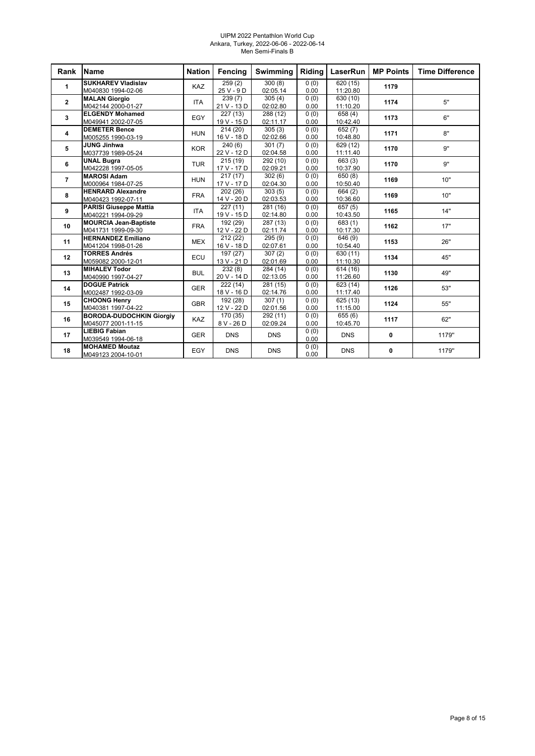#### UIPM 2022 Pentathlon World Cup Ankara, Turkey, 2022-06-06 - 2022-06-14 Men Semi-Finals B

| Rank                    | Name                            | <b>Nation</b> | Fencing     | <b>Swimming</b> | Riding | <b>LaserRun</b>  | <b>MP Points</b> | <b>Time Difference</b> |
|-------------------------|---------------------------------|---------------|-------------|-----------------|--------|------------------|------------------|------------------------|
| 1                       | <b>SUKHAREV Vladislav</b>       | KAZ           | 259(2)      | 300(8)          | 0(0)   | 620(15)          | 1179             |                        |
|                         | M040830 1994-02-06              |               | $25V - 9D$  | 02:05.14        | 0.00   | 11:20.80         |                  |                        |
| $\mathbf{2}$            | <b>MALAN Giorgio</b>            | <b>ITA</b>    | 239(7)      | 305(4)          | 0(0)   | 630 (10)         | 1174             | 5"                     |
|                         | M042144 2000-01-27              |               | 21 V - 13 D | 02:02.80        | 0.00   | 11:10.20         |                  |                        |
| $\mathbf{3}$            | <b>ELGENDY Mohamed</b>          | EGY           | 227 (13)    | 288 (12)        | 0(0)   | 658 (4)          | 1173             | 6"                     |
|                         | M049941 2002-07-05              |               | 19 V - 15 D | 02:11.17        | 0.00   | 10:42.40         |                  |                        |
| $\overline{\mathbf{4}}$ | <b>DEMETER Bence</b>            | <b>HUN</b>    | 214(20)     | 305(3)          | 0(0)   | $\sqrt{652}$ (7) | 1171             | 8"                     |
|                         | M005255 1990-03-19              |               | 16 V - 18 D | 02:02.66        | 0.00   | 10:48.80         |                  |                        |
| 5                       | <b>JUNG Jinhwa</b>              | <b>KOR</b>    | 240(6)      | 301(7)          | 0(0)   | 629 (12)         | 1170             | <b>g"</b>              |
|                         | M037739 1989-05-24              |               | 22 V - 12 D | 02:04.58        | 0.00   | 11:11.40         |                  |                        |
| 6                       | <b>UNAL Bugra</b>               | <b>TUR</b>    | 215(19)     | 292 (10)        | 0(0)   | 663 (3)          | 1170             | <b>g"</b>              |
|                         | M042228 1997-05-05              |               | 17 V - 17 D | 02:09.21        | 0.00   | 10:37.90         |                  |                        |
| $\overline{7}$          | <b>MAROSI Adam</b>              | <b>HUN</b>    | 217(17)     | 302(6)          | 0(0)   | 650(8)           | 1169             | 10"                    |
|                         | M000964 1984-07-25              |               | 17 V - 17 D | 02:04.30        | 0.00   | 10:50.40         |                  |                        |
| 8                       | <b>HENRARD Alexandre</b>        | <b>FRA</b>    | 202 (26)    | 303(5)          | 0(0)   | 664 (2)          | 1169             | 10"                    |
|                         | M040423 1992-07-11              |               | 14 V - 20 D | 02:03.53        | 0.00   | 10:36.60         |                  |                        |
| 9                       | <b>PARISI Giuseppe Mattia</b>   | <b>ITA</b>    | 227(11)     | 281 (16)        | 0(0)   | 657(5)           | 1165             | 14"                    |
|                         | M040221 1994-09-29              |               | 19 V - 15 D | 02:14.80        | 0.00   | 10:43.50         |                  |                        |
| 10                      | <b>MOURCIA Jean-Baptiste</b>    | <b>FRA</b>    | 192 (29)    | 287 (13)        | 0(0)   | 683(1)           | 1162             | 17"                    |
|                         | M041731 1999-09-30              |               | 12 V - 22 D | 02:11.74        | 0.00   | 10:17.30         |                  |                        |
| 11                      | <b>HERNANDEZ Emiliano</b>       | <b>MEX</b>    | 212 (22)    | 295(9)          | 0(0)   | 646 (9)          | 1153             | 26"                    |
|                         | M041204 1998-01-26              |               | 16 V - 18 D | 02:07.61        | 0.00   | 10:54.40         |                  |                        |
| 12                      | <b>TORRES Andrés</b>            | ECU           | 197 (27)    | 307(2)          | 0(0)   | 630 (11)         | 1134             | 45"                    |
|                         | M059082 2000-12-01              |               | 13 V - 21 D | 02:01.69        | 0.00   | 11:10.30         |                  |                        |
| 13                      | <b>MIHALEV Todor</b>            | <b>BUL</b>    | 232(8)      | 284 (14)        | 0(0)   | 614(16)          | 1130             | 49"                    |
|                         | M040990 1997-04-27              |               | 20 V - 14 D | 02:13.05        | 0.00   | 11:26.60         |                  |                        |
| 14                      | <b>DOGUE Patrick</b>            | <b>GER</b>    | 222(14)     | 281 (15)        | 0(0)   | 623 (14)         | 1126             | 53"                    |
|                         | M002487 1992-03-09              |               | 18 V - 16 D | 02:14.76        | 0.00   | 11:17.40         |                  |                        |
| 15                      | <b>CHOONG Henry</b>             | <b>GBR</b>    | 192 (28)    | 307(1)          | 0(0)   | 625 (13)         | 1124             | 55"                    |
|                         | M040381 1997-04-22              |               | 12 V - 22 D | 02:01.56        | 0.00   | 11:15.00         |                  |                        |
| 16                      | <b>BORODA-DUDOCHKIN Giorgiy</b> | KAZ           | 170 (35)    | 292 (11)        | 0(0)   | 655(6)           | 1117             | 62"                    |
|                         | M045077 2001-11-15              |               | 8 V - 26 D  | 02:09.24        | 0.00   | 10:45.70         |                  |                        |
| 17                      | <b>LIEBIG Fabian</b>            | <b>GER</b>    | <b>DNS</b>  | <b>DNS</b>      | 0(0)   | <b>DNS</b>       | 0                | 1179"                  |
|                         | M039549 1994-06-18              |               |             |                 | 0.00   |                  |                  |                        |
| 18                      | <b>MOHAMED Moutaz</b>           | EGY           | <b>DNS</b>  | <b>DNS</b>      | 0(0)   | <b>DNS</b>       | 0                | 1179"                  |
|                         | M049123 2004-10-01              |               |             |                 | 0.00   |                  |                  |                        |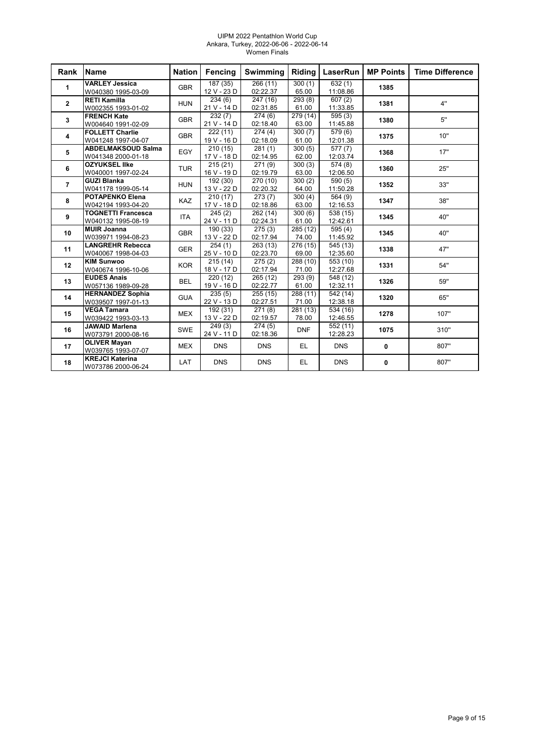#### UIPM 2022 Pentathlon World Cup Ankara, Turkey, 2022-06-06 - 2022-06-14 Women Finals

| Rank           | Name                                            | <b>Nation</b> | <b>Fencing</b>          | Swimming             | <b>Riding</b>     | LaserRun                         | <b>MP Points</b> | <b>Time Difference</b> |
|----------------|-------------------------------------------------|---------------|-------------------------|----------------------|-------------------|----------------------------------|------------------|------------------------|
| $\mathbf{1}$   | <b>VARLEY Jessica</b><br>W040380 1995-03-09     | <b>GBR</b>    | 187(35)<br>12 V - 23 D  | 266(11)<br>02:22.37  | 300(1)<br>65.00   | 632(1)<br>11:08.86               | 1385             |                        |
| $\mathbf{2}$   | <b>RETI Kamilla</b><br>W002355 1993-01-02       | <b>HUN</b>    | 234(6)<br>21 V - 14 D   | 247 (16)<br>02:31.85 | 293(8)<br>61.00   | 607(2)<br>11:33.85               | 1381             | 4"                     |
| 3              | <b>FRENCH Kate</b><br>W004640 1991-02-09        | <b>GBR</b>    | 232(7)<br>21 V - 14 D   | 274(6)<br>02:18.40   | 279 (14)<br>63.00 | 595(3)<br>11:45.88               | 1380             | 5"                     |
| 4              | <b>FOLLETT Charlie</b><br>W041248 1997-04-07    | <b>GBR</b>    | 222(11)<br>19 V - 16 D  | 274(4)<br>02:18.09   | 300(7)<br>61.00   | $\overline{579(6)}$<br>12:01.38  | 1375             | 10"                    |
| 5              | <b>ABDELMAKSOUD Salma</b><br>W041348 2000-01-18 | EGY           | 210(15)<br>17 V - 18 D  | 281(1)<br>02:14.95   | 300(5)<br>62.00   | 577(7)<br>12:03.74               | 1368             | 17"                    |
| 6              | <b>OZYUKSEL IIke</b><br>W040001 1997-02-24      | <b>TUR</b>    | 215(21)<br>16 V - 19 D  | 271(9)<br>02:19.79   | 300(3)<br>63.00   | $\overline{574}$ (8)<br>12:06.50 | 1360             | 25"                    |
| $\overline{7}$ | <b>GUZI Blanka</b><br>W041178 1999-05-14        | <b>HUN</b>    | 192(30)<br>13 V - 22 D  | 270 (10)<br>02:20.32 | 300(2)<br>64.00   | 590(5)<br>11:50.28               | 1352             | 33"                    |
| 8              | <b>POTAPENKO Elena</b><br>W042194 1993-04-20    | <b>KAZ</b>    | 210(17)<br>17 V - 18 D  | 273(7)<br>02:18.86   | 300(4)<br>63.00   | 564 (9)<br>12:16.53              | 1347             | 38"                    |
| 9              | <b>TOGNETTI Francesca</b><br>W040132 1995-08-19 | <b>ITA</b>    | 245(2)<br>24 V - 11 D   | 262 (14)<br>02:24.31 | 300(6)<br>61.00   | 538 (15)<br>12:42.61             | 1345             | 40"                    |
| 10             | <b>MUIR Joanna</b><br>W039971 1994-08-23        | <b>GBR</b>    | 190 (33)<br>13 V - 22 D | 275(3)<br>02:17.94   | 285 (12)<br>74.00 | $\overline{595}$ (4)<br>11:45.92 | 1345             | 40"                    |
| 11             | <b>LANGREHR Rebecca</b><br>W040067 1998-04-03   | <b>GER</b>    | 254(1)<br>25 V - 10 D   | 263(13)<br>02:23.70  | 276 (15)<br>69.00 | 545 (13)<br>12:35.60             | 1338             | 47"                    |
| 12             | <b>KIM Sunwoo</b><br>W040674 1996-10-06         | <b>KOR</b>    | 215(14)<br>18 V - 17 D  | 275(2)<br>02:17.94   | 288 (10)<br>71.00 | 553 (10)<br>12:27.68             | 1331             | 54"                    |
| 13             | <b>EUDES Anais</b><br>W057136 1989-09-28        | <b>BEL</b>    | 220 (12)<br>19 V - 16 D | 265 (12)<br>02:22.77 | 293(9)<br>61.00   | 548 (12)<br>12:32.11             | 1326             | 59"                    |
| 14             | <b>HERNANDEZ Sophia</b><br>W039507 1997-01-13   | <b>GUA</b>    | 235(5)<br>22 V - 13 D   | 255 (15)<br>02:27.51 | 288 (11)<br>71.00 | 542 (14)<br>12:38.18             | 1320             | 65"                    |
| 15             | <b>VEGA Tamara</b><br>W039422 1993-03-13        | <b>MEX</b>    | 192 (31)<br>13 V - 22 D | 271(8)<br>02:19.57   | 281 (13)<br>78.00 | 534 (16)<br>12:46.55             | 1278             | 107"                   |
| 16             | <b>JAWAID Marlena</b><br>W073791 2000-08-16     | <b>SWE</b>    | 249(3)<br>24 V - 11 D   | 274(5)<br>02:18.36   | <b>DNF</b>        | 552 (11)<br>12:28.23             | 1075             | 310"                   |
| 17             | <b>OLIVER Mayan</b><br>W039765 1993-07-07       | <b>MEX</b>    | <b>DNS</b>              | <b>DNS</b>           | EL.               | <b>DNS</b>                       | 0                | 807"                   |
| 18             | <b>KREJCI Katerina</b><br>W073786 2000-06-24    | LAT           | <b>DNS</b>              | <b>DNS</b>           | EL.               | <b>DNS</b>                       | 0                | 807"                   |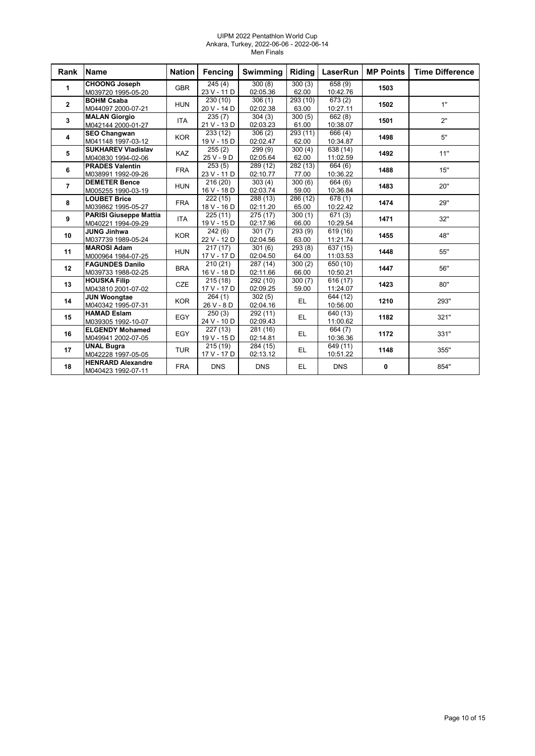#### UIPM 2022 Pentathlon World Cup Ankara, Turkey, 2022-06-06 - 2022-06-14 Men Finals

| Rank           | <b>Name</b>                                         | <b>Nation</b> | Fencing                          | Swimming                         | Riding            | <b>LaserRun</b>                 | <b>MP Points</b> | <b>Time Difference</b> |
|----------------|-----------------------------------------------------|---------------|----------------------------------|----------------------------------|-------------------|---------------------------------|------------------|------------------------|
| 1              | <b>CHOONG Joseph</b><br>M039720 1995-05-20          | <b>GBR</b>    | 245(4)<br>23 V - 11 D            | 300(8)<br>02:05.36               | 300(3)<br>62.00   | 658(9)<br>10:42.76              | 1503             |                        |
| $\mathbf{2}$   | <b>BOHM Csaba</b><br>M044097 2000-07-21             | <b>HUN</b>    | 230(10)<br>20 V - 14 D           | 306(1)<br>02:02.38               | 293 (10)<br>63.00 | $\sqrt{673}$ (2)<br>10:27.11    | 1502             | 1"                     |
| 3              | <b>MALAN Giorgio</b><br>M042144 2000-01-27          | <b>ITA</b>    | 235(7)<br>21 V - 13 D            | 304(3)<br>02:03.23               | 300(5)<br>61.00   | 662(8)<br>10:38.07              | 1501             | 2"                     |
| 4              | <b>SEO Changwan</b><br>M041148 1997-03-12           | <b>KOR</b>    | 233(12)<br>19 V - 15 D           | 306(2)<br>02:02.47               | 293(11)<br>62.00  | 666 (4)<br>10:34.87             | 1498             | 5"                     |
| 5              | <b>SUKHAREV Vladislav</b><br>M040830 1994-02-06     | <b>KAZ</b>    | 255(2)<br>25 V - 9 D             | 299(9)<br>02:05.64               | 300(4)<br>62.00   | 638 (14)<br>11:02.59            | 1492             | 11"                    |
| 6              | <b>PRADES Valentin</b><br>M038991 1992-09-26        | <b>FRA</b>    | 253(5)<br>23 V - 11 D            | 289 (12)<br>02:10.77             | 282 (13)<br>77.00 | 664 (6)<br>10:36.22             | 1488             | 15"                    |
| $\overline{7}$ | <b>DEMETER Bence</b><br>M005255 1990-03-19          | <b>HUN</b>    | $\sqrt{216}$ (20)<br>16 V - 18 D | 303(4)<br>02:03.74               | 300(6)<br>59.00   | 664 (6)<br>10:36.84             | 1483             | 20"                    |
| 8              | <b>LOUBET Brice</b><br>M039862 1995-05-27           | <b>FRA</b>    | 222(15)<br>18 V - 16 D           | 288(13)<br>02:11.20              | 286 (12)<br>65.00 | $\overline{678(1)}$<br>10:22.42 | 1474             | 29"                    |
| 9              | <b>PARISI Giuseppe Mattia</b><br>M040221 1994-09-29 | <b>ITA</b>    | 225(11)<br>19 V - 15 D           | 275(17)<br>02:17.96              | 300(1)<br>66.00   | 671(3)<br>10:29.54              | 1471             | 32"                    |
| 10             | <b>JUNG Jinhwa</b><br>M037739 1989-05-24            | <b>KOR</b>    | 242(6)<br>22 V - 12 D            | 301(7)<br>02:04.56               | 293(9)<br>63.00   | 619 (16)<br>11:21.74            | 1455             | 48"                    |
| 11             | <b>MAROSI Adam</b><br>M000964 1984-07-25            | <b>HUN</b>    | 217(17)<br>17 V - 17 D           | 301(6)<br>02:04.50               | 293 (8)<br>64.00  | $\sqrt{637(15)}$<br>11:03.53    | 1448             | 55"                    |
| 12             | <b>FAGUNDES Danilo</b><br>M039733 1988-02-25        | <b>BRA</b>    | 210(21)<br>16 V - 18 D           | 287 (14)<br>02:11.66             | 300(2)<br>66.00   | 650 (10)<br>10:50.21            | 1447             | 56"                    |
| 13             | <b>HOUSKA Filip</b><br>M043810 2001-07-02           | CZE           | 215(18)<br>17 V - 17 D           | 292 (10)<br>02:09.25             | 300(7)<br>59.00   | 616 (17)<br>11:24.07            | 1423             | 80"                    |
| 14             | <b>JUN Woongtae</b><br>M040342 1995-07-31           | <b>KOR</b>    | 264(1)<br>26 V - 8 D             | 302(5)<br>02:04.16               | EL.               | 644 (12)<br>10:56.00            | 1210             | 293"                   |
| 15             | <b>HAMAD Eslam</b><br>M039305 1992-10-07            | EGY           | 250(3)<br>24 V - 10 D            | $\overline{2}92(11)$<br>02:09.43 | EL.               | 640 (13)<br>11:00.62            | 1182             | 321"                   |
| 16             | <b>ELGENDY Mohamed</b><br>M049941 2002-07-05        | EGY           | 227(13)<br>19 V - 15 D           | 281 (16)<br>02:14.81             | EL.               | 664 (7)<br>10:36.36             | 1172             | 331"                   |
| 17             | <b>UNAL Bugra</b><br>M042228 1997-05-05             | <b>TUR</b>    | 215(19)<br>17 V - 17 D           | 284 (15)<br>02:13.12             | EL.               | 649 (11)<br>10:51.22            | 1148             | 355"                   |
| 18             | <b>HENRARD Alexandre</b><br>M040423 1992-07-11      | <b>FRA</b>    | <b>DNS</b>                       | <b>DNS</b>                       | EL.               | <b>DNS</b>                      | 0                | 854"                   |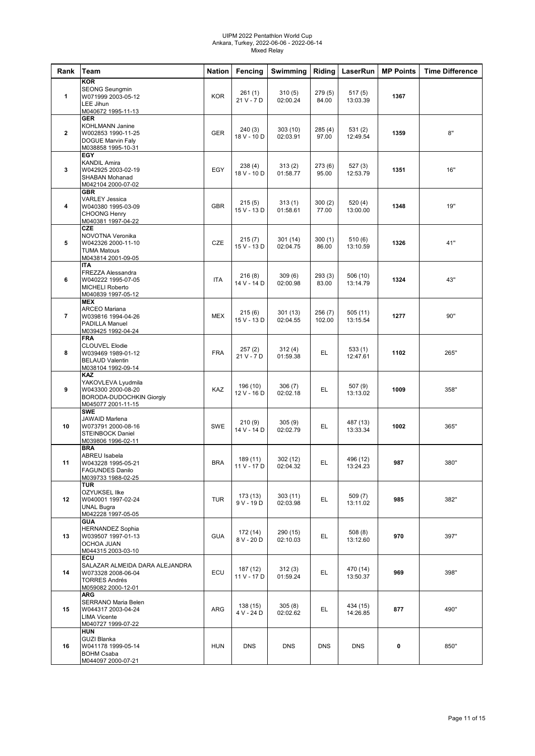#### UIPM 2022 Pentathlon World Cup Ankara, Turkey, 2022-06-06 - 2022-06-14 Mixed Relay

| Rank           | Team                                                                                                            | <b>Nation</b> | Fencing                 | Swimming             | Riding           | LaserRun             | <b>MP Points</b> | <b>Time Difference</b> |
|----------------|-----------------------------------------------------------------------------------------------------------------|---------------|-------------------------|----------------------|------------------|----------------------|------------------|------------------------|
| $\mathbf{1}$   | <b>KOR</b><br><b>SEONG Seungmin</b><br>W071999 2003-05-12<br><b>LEE Jihun</b><br>M040672 1995-11-13             | <b>KOR</b>    | 261(1)<br>21 V - 7 D    | 310(5)<br>02:00.24   | 279(5)<br>84.00  | 517 (5)<br>13:03.39  | 1367             |                        |
| $\overline{2}$ | <b>GER</b><br><b>KOHLMANN Janine</b><br>W002853 1990-11-25<br>DOGUE Marvin Faly<br>M038858 1995-10-31           | <b>GER</b>    | 240(3)<br>18 V - 10 D   | 303(10)<br>02:03.91  | 285(4)<br>97.00  | 531(2)<br>12:49.54   | 1359             | 8"                     |
| 3              | <b>EGY</b><br><b>KANDIL Amira</b><br>W042925 2003-02-19<br>SHABAN Mohanad<br>M042104 2000-07-02                 | EGY           | 238(4)<br>18 V - 10 D   | 313(2)<br>01:58.77   | 273(6)<br>95.00  | 527(3)<br>12:53.79   | 1351             | 16"                    |
| 4              | <b>GBR</b><br><b>VARLEY Jessica</b><br>W040380 1995-03-09<br><b>CHOONG Henry</b><br>M040381 1997-04-22          | <b>GBR</b>    | 215(5)<br>15 V - 13 D   | 313(1)<br>01:58.61   | 300(2)<br>77.00  | 520 (4)<br>13:00.00  | 1348             | 19"                    |
| 5              | <b>CZE</b><br>NOVOTNA Veronika<br>W042326 2000-11-10<br><b>TUMA Matous</b><br>M043814 2001-09-05                | CZE           | 215(7)<br>15 V - 13 D   | 301(14)<br>02:04.75  | 300(1)<br>86.00  | 510(6)<br>13:10.59   | 1326             | 41"                    |
| 6              | <b>ITA</b><br>FREZZA Alessandra<br>W040222 1995-07-05<br><b>MICHELI Roberto</b><br>M040839 1997-05-12           | <b>ITA</b>    | 216(8)<br>14 V - 14 D   | 309(6)<br>02:00.98   | 293(3)<br>83.00  | 506 (10)<br>13:14.79 | 1324             | 43"                    |
| $\overline{7}$ | <b>MEX</b><br><b>ARCEO Mariana</b><br>W039816 1994-04-26<br><b>PADILLA Manuel</b><br>M039425 1992-04-24         | <b>MEX</b>    | 215(6)<br>15 V - 13 D   | 301(13)<br>02:04.55  | 256(7)<br>102.00 | 505 (11)<br>13:15.54 | 1277             | 90"                    |
| 8              | <b>FRA</b><br><b>CLOUVEL Elodie</b><br>W039469 1989-01-12<br><b>BELAUD Valentin</b><br>M038104 1992-09-14       | <b>FRA</b>    | 257(2)<br>21 V - 7 D    | 312(4)<br>01:59.38   | EL               | 533 (1)<br>12:47.61  | 1102             | 265"                   |
| 9              | <b>KAZ</b><br>YAKOVLEVA Lyudmila<br>W043300 2000-08-20<br><b>BORODA-DUDOCHKIN Giorgiy</b><br>M045077 2001-11-15 | KAZ           | 196 (10)<br>12 V - 16 D | 306 (7)<br>02:02.18  | EL               | 507 (9)<br>13:13.02  | 1009             | 358"                   |
| 10             | <b>SWE</b><br><b>JAWAID Marlena</b><br>W073791 2000-08-16<br><b>STEINBOCK Daniel</b><br>M039806 1996-02-11      | SWE           | 210(9)<br>14 V - 14 D   | 305(9)<br>02:02.79   | EL.              | 487 (13)<br>13:33.34 | 1002             | 365"                   |
| 11             | <b>BRA</b><br><b>ABREU Isabela</b><br>W043228 1995-05-21<br><b>FAGUNDES Danilo</b><br>M039733 1988-02-25        | <b>BRA</b>    | 189(11)<br>11 V - 17 D  | 302(12)<br>02:04.32  | EL               | 496 (12)<br>13:24.23 | 987              | 380"                   |
| 12             | <b>TUR</b><br>OZYUKSEL Ilke<br>W040001 1997-02-24<br><b>UNAL Bugra</b><br>M042228 1997-05-05                    | <b>TUR</b>    | 173 (13)<br>$9V - 19D$  | 303(11)<br>02:03.98  | EL.              | 509 (7)<br>13:11.02  | 985              | 382"                   |
| 13             | <b>GUA</b><br><b>HERNANDEZ Sophia</b><br>W039507 1997-01-13<br>OCHOA JUAN<br>M044315 2003-03-10                 | <b>GUA</b>    | 172 (14)<br>8 V - 20 D  | 290 (15)<br>02:10.03 | EL.              | 508(8)<br>13:12.60   | 970              | 397"                   |
| 14             | ECU<br>SALAZAR ALMEIDA DARA ALEJANDRA<br>W073328 2008-06-04<br><b>TORRES Andrés</b><br>M059082 2000-12-01       | ECU           | 187 (12)<br>11 V - 17 D | 312(3)<br>01:59.24   | EL.              | 470 (14)<br>13:50.37 | 969              | 398"                   |
| 15             | <b>ARG</b><br>SERRANO Maria Belen<br>W044317 2003-04-24<br><b>LIMA Vicente</b><br>M040727 1999-07-22            | ARG           | 138 (15)<br>4 V - 24 D  | 305(8)<br>02:02.62   | EL.              | 434 (15)<br>14:26.85 | 877              | 490"                   |
| 16             | <b>HUN</b><br><b>GUZI Blanka</b><br>W041178 1999-05-14<br><b>BOHM Csaba</b><br>M044097 2000-07-21               | <b>HUN</b>    | <b>DNS</b>              | <b>DNS</b>           | <b>DNS</b>       | <b>DNS</b>           | 0                | 850"                   |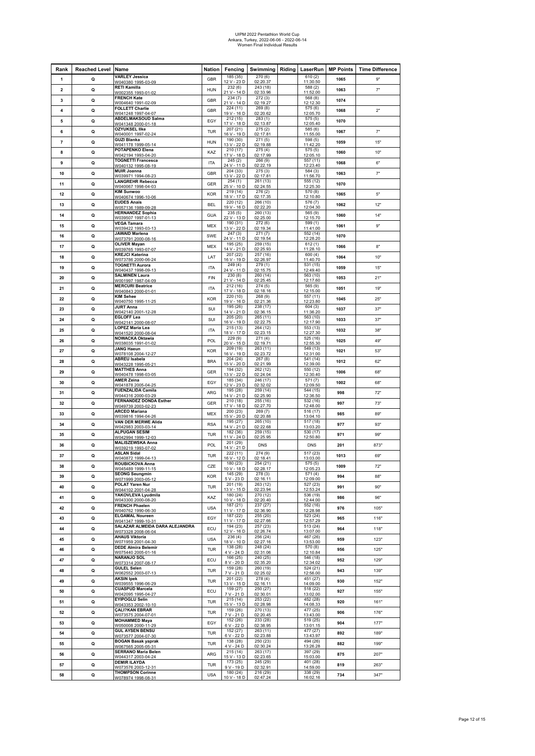# UIPM 2022 Pentathlon World Cup Ankara, Turkey, 2022-06-06 - 2022-06-14 Women Final Individual Results

| Rank                    | <b>Reached Level Name</b> |                                                      | Nation     | Fencing                 | Swimming   Riding   LaserRun |                        | <b>MP Points</b> | <b>Time Difference</b> |
|-------------------------|---------------------------|------------------------------------------------------|------------|-------------------------|------------------------------|------------------------|------------------|------------------------|
| 1                       | Q                         | <b>VARLEY Jessica</b><br>W040380 1995-03-09          | GBR        | 185(35)<br>12 V - 23 D  | 270(6)<br>02:20.37           | 610(2)<br>11:30.50     | 1065             | 9"                     |
| $\overline{\mathbf{2}}$ | Q                         | <b>RETI Kamilla</b><br>W002355 1993-01-02            | <b>HUN</b> | 232(6)<br>21 V - 14 D   | 243(18)<br>02:33.96          | 588(2)<br>11:52.00     | 1063             | 7"                     |
| 3                       | Q                         | <b>FRENCH Kate</b>                                   | GBR        | 234(7)                  | 272 (3)                      | 568 (8)                | 1074             |                        |
| 4                       | Q                         | W004640 1991-02-09<br><b>FOLLETT Charlie</b>         | GBR        | 21 V - 14 D<br>224 (11) | 02:19.27<br>269(8)           | 12:12.30<br>575 (6)    | 1068             | 2"                     |
|                         |                           | W041248 1997-04-07<br><b>ABDELMAKSOUD Salma</b>      |            | 19 V - 16 D<br>212 (15) | 02:20.62<br>283 (1)          | 12:05.70<br>575 (5)    |                  |                        |
| 5                       | Q                         | <u>W041348 2000-01-18</u>                            | EGY        | 17 V - 18 D<br>207 (21) | 02:13.87<br>275(2)           | 12:05.40<br>585 (6)    | 1070             |                        |
| 6                       | Q                         | <b>OZYUKSEL IIke</b><br>W040001 1997-02-24           | <b>TUR</b> | 16 V - 19 D             | 02:17.81                     | 11:55.00               | 1067             | 7"                     |
| 7                       | Q                         | <b>GUZI Blanka</b><br>W041178 1999-05-14             | <b>HUN</b> | 190 (30)<br>13 V - 22 D | 271(5)<br>02:19.88           | 598 (5)<br>11:42.20    | 1059             | 15"                    |
| 8                       | Q                         | POTAPENKO Elena<br>W042194 1993-04-20                | KAZ        | 210 (17)<br>17 V - 18 D | 275(4)<br>02:17.99           | 575 (5)<br>12:05.10    | 1060             | 10"                    |
| 9                       | Q                         | <b>TOGNETTI Francesca</b>                            | <b>ITA</b> | 245(2)                  | 266 (9)                      | 557 (11)               | 1068             | 6"                     |
| 10                      | Q                         | W040132 1995-08-19<br><b>MUIR Joanna</b>             | GBR        | 24 V - 11 D<br>204(33)  | 02:22.19<br>275(3)           | 12:23.40<br>584 (3)    | 1063             | 7"                     |
|                         |                           | W039971 1994-08-23<br><b>LANGREHR Rebecca</b>        |            | 13 V - 22 D<br>254(1)   | 02:17.81<br>261 (13)         | 11:56.70<br>555 (12)   |                  |                        |
| 11                      | Q                         | W040067 1998-04-03<br><b>KIM Sunwoo</b>              | GER        | 25 V - 10 D<br>219 (14) | 02:24.55<br>276(2)           | 12:25.30<br>570(8)     | 1070             |                        |
| 12                      | Q                         | W040674 1996-10-06                                   | <b>KOR</b> | 18 V - 17 D             | 02:17.35                     | 12:10.80               | 1065             | 5"                     |
| 13                      | Q                         | <b>EUDES Anais</b><br>W057136 1989-09-28             | <b>BEL</b> | 220 (12)<br>19 V - 16 D | 266 (10)<br>02:22.20         | 576 (7)<br>12:04.30    | 1062             | 12"                    |
| 14                      | Q                         | <b>HERNANDEZ Sophia</b><br>W039507 1997-01-13        | <b>GUA</b> | 235(5)<br>22 V - 13 D   | 260 (13)<br>02:25.00         | 565 (9)<br>12:15.70    | 1060             | 14"                    |
| 15                      | Q                         | <b>VEGA Tamara</b>                                   | MEX        | 190 (31)<br>13 V - 22 D | 272(6)<br>02:19.34           | 599 (1)<br>11:41.00    | 1061             | 9"                     |
| 16                      | Q                         | W039422 1993-03-13<br><b>JAWAID Marlena</b>          | SWE        | 247(3)                  | 271(7)                       | 552 (14)               | 1070             |                        |
|                         |                           | W073791 2000-08-16<br><b>OLIVER Mayan</b>            |            | 24 V - 11 D<br>195 (25) | 02:19.54<br>259 (15)         | 12:28.20<br>612(1)     |                  |                        |
| 17                      | Q                         | W039765 1993-07-07<br><b>KREJCI Katerina</b>         | MEX        | 14 V - 21 D<br>207 (22) | 02:25.93<br>257 (16)         | 11:28.10<br>600(4)     | 1066             | 8"                     |
| 18                      | Q                         | W073786 2000-06-24                                   | LAT        | 16 V - 19 D             | 02:26.97                     | 11:40.70               | 1064             | 10"                    |
| 19                      | Q                         | <b>TOGNETTI Aurora</b><br>W040437 1998-09-13         | <b>ITA</b> | 249(4)<br>24 V - 11 D   | 279 (1)<br>02:15.75          | 531 (15)<br>12:49.40   | 1059             | 15"                    |
| 20                      | Q                         | <b>SALMINEN Laura</b><br>W001997 1987-04-09          | FIN        | 230(8)<br>21 V - 14 D   | 260 (14)<br>02:25.45         | 563 (10)<br>12:17.60   | 1053             | 21"                    |
| 21                      | Q                         | <b>MERCURI Beatrice</b><br>W040843 2000-01-01        | <b>ITA</b> | 212 (16)<br>17 V - 18 D | 274 (5)<br>02:18.16          | 565 (9)<br>12:15.00    | 1051             | 19"                    |
| 22                      | Q                         | <b>KIM Sehee</b>                                     | <b>KOR</b> | 220 (10)                | 268 (9)                      | 557 (11)               | 1045             | 25"                    |
| 23                      | Q                         | W040750 1995-11-25<br><b>JURT Anna</b>               | SUI        | 19 V - 16 D<br>195(26)  | 02:21.36<br>238 (17)         | 12:23.80<br>604(3)     | 1037             | 37"                    |
|                         |                           | W042140 2001-12-28<br><b>EGLOFF Lea</b>              |            | 14 V - 21 D<br>205 (20) | 02:36.15<br>265 (11)         | 11:36.20<br>563 (10)   |                  |                        |
| 24                      | Q                         | W042141 2000-08-07                                   | SUI        | 16 V - 19 D<br>215(13)  | 02:22.75<br>264 (12)         | 12:17.90<br>553 (13)   | 1033             | 37"                    |
| 25                      | Q                         | <b>LOPEZ Maria Lea</b><br>W041520 2000-08-04         | <b>ITA</b> | 18 V - 17 D             | 02:23.15                     | 12:27.30               | 1032             | 38"                    |
| 26                      | Q                         | <b>NOWACKA Oktawia</b><br>W038035 1991-01-02         | POL        | 229 (9)<br>20 V - 15 D  | 271 (4)<br>02:19.71          | 525 (16)<br>12:55.30   | 1025             | 49"                    |
| 27                      | Q                         | JANG Haeun<br>W078108 2004-12-27                     | <b>KOR</b> | 209 (19)<br>16 V - 19 D | 263(11)<br>02:23.72          | 549(13)<br>12:31.00    | 1021             | 53"                    |
| 28                      | Q                         | <b>ABREU Isabela</b>                                 | <b>BRA</b> | 204 (24)                | 267(8)                       | 541 (14)               | 1012             | 62"                    |
| 29                      | Q                         | W043228 1995-05-21<br><b>MATTHES Anna</b>            | GER        | 15 V - 20 D<br>194 (32) | 02:21.99<br>262 (12)         | 12:39.00<br>550 (12)   | 1006             | 68"                    |
|                         |                           | W040478 1998-03-05<br><b>AMER Zeina</b>              |            | 13 V - 22 D<br>185 (34) | 02:24.04<br>246 (17)         | 12:30.40<br>571(7)     |                  |                        |
| 30                      | Q                         | W041878 2005-04-25<br><b>FUENZALIDA Camila</b>       | EGY        | 12 V - 23 D<br>195 (28) | 02:32.02<br>259 (14)         | 12:09.50<br>544 (15)   | 1002             | 68"                    |
| 31                      | Q                         | W044316 2000-03-29                                   | ARG        | 14 V - 21 D             | 02:25.90                     | 12:36.50               | 998              | 72"                    |
| 32                      | Q                         | <b>FERNANDEZ DONDA Esther</b><br>W049739 2003-02-23  | GER        | 210 (18)<br>17 V - 18 D | 255 (16)<br>02:27.70         | 532 (16)<br>12:48.00   | 997              | 73"                    |
| 33                      | Q                         | <b>ARCEO Mariana</b><br>W039816 1994-04-26           | MEX        | 200 (23)<br>15 V - 20 D | 269(7)<br>02:20.88           | 516 (17)<br>13:04.10   | 985              | 89"                    |
| 34                      | Q                         | VAN DER MERWE Alida<br>W042983 2003-03-14            | <b>RSA</b> | 195 (27)<br>14 V - 21 D | 265 (10)<br>02:22.68         | 517 (18)<br>13:03.20   | 977              | 93"                    |
| 35                      | Q                         | <b>ALPUGAN SESIM</b>                                 | TUR        | 182 (36)                | 259 (15)                     | 530 (17)               | 971              | 99"                    |
| 36                      | Q                         | W042994 1999-12-03<br><b>MALISZEWSKA Anna</b>        | POL        | 11 V - 24 D<br>201 (29) | 02:25.95<br><b>DNS</b>       | 12:50.80<br><b>DNS</b> | 201              | 873"                   |
|                         |                           | W039219 1993-07-02<br><b>ASLAN Sidal</b>             |            | 14 V - 21 D<br>222 (11) | 274(9)                       | 517(23)                |                  |                        |
| 37                      | Q                         | W040872 1999-04-13<br><b>ROUBICKOVA Anna</b>         | TUR        | 16 V - 12 D<br>180 (23) | 02:18.41<br>254 (21)         | 13:03.00<br>575 (5)    | 1013             | 69"                    |
| 38                      | Q                         | 0001 0913400                                         | CZE        | IN V - 18 F             | 02.281                       | 12.05.23               | 1009             | 72"                    |
| 39                      | Q                         | <b>SEONG Seungmin</b><br>W071999 2003-05-12          | <b>KOR</b> | 145 (29)<br>5 V - 23 D  | 278 (3)<br>02:16.11          | 571 (4)<br>12:09.00    | 994              | 88"                    |
| 40                      | Q                         | POLAT Yaren Nur<br>W044102 2001-04-28                | <b>TUR</b> | 201 (19)<br>13 V - 15 D | 263 (12)<br>02:23.94         | 527 (23)<br>12:53.24   | 991              | 90"                    |
| 41                      | Q                         | YAKOVLEVA Lyudmila<br>W043300 2000-08-20             | KAZ        | 180 (24)<br>10 V - 18 D | 270 (12)<br>02:20.40         | 536 (19)<br>12:44.00   | 986              | 96"                    |
| 42                      | Q                         | <b>FRENCH Phaelen</b>                                | <b>USA</b> | 187 (21)                | 237 (27)                     | 552 (16)               | 976              | 105"                   |
|                         |                           | W040762 1990-06-30<br><b>ELGAMAL Noureen</b>         |            | 11 V - 17 D<br>187 (22) | 02:36.90<br>255 (20)         | 12:28.98<br>523 (24)   |                  |                        |
| 43                      | Q                         | W041347 1999-10-31<br>SALAZAR ALMEIDA DARA ALEJANDRA | EGY        | 11 V - 17 D<br>194 (23) | 02:27.66<br>257 (23)         | 12:57.29<br>513 (24)   | 965              | 116"                   |
| 44                      | Q                         | W073328 2008-06-04<br><b>AHAUS Viktoria</b>          | ECU        | 12 V - 16 D<br>236(4)   | 02:26.74<br>256 (24)         | 13:07.00<br>467(26)    | 964              | 118"                   |
| 45                      | Q                         | W071959 2001-04-30                                   | <b>USA</b> | 18 V - 10 D             | 02:27.16                     | 13:53.00               | 959              | 123"                   |
| 46                      | Q                         | <b>DEDE Almira Belemir</b><br>W075440 2005-01-16     | TUR        | 138 (28)<br>4 V - 24 D  | 248 (24)<br>02:31.06         | 570 (8)<br>12:10.84    | 956              | 125"                   |
| 47                      | Q                         | <b>NARANJO SOL</b><br>W073314 2007-08-17             | ECU        | 166 (25)<br>8 V - 20 D  | 240(25)<br>02:35.20          | 546 (18)<br>12:34.02   | 952              | 129"                   |
| 48                      | Q                         | <b>GULEL Selen</b>                                   | <b>TUR</b> | 159(28)<br>$7V - 21D$   | 260(19)                      | 524(21)                | 943              | 139"                   |
| 49                      | Q                         | W062552 2003-07-13<br><b>AKSIN Ipek</b>              | TUR        | 201 (22)                | 02:25.02<br>278 (4)          | 12:56.00<br>451 (27)   | 930              | 152"                   |
|                         |                           | W039555 1996-06-29<br><b>CUASPUD Marcela</b>         |            | 13 V - 15 D<br>159 (27) | 02:16.11<br>250 (27)         | 14:09.00<br>518 (22)   |                  |                        |
| 50                      | Q                         | W042095 1995-04-27<br><b>EYIPOGLU Selin</b>          | ECU        | 7 V - 21 D<br>215(14)   | 02:30.01<br>253 (22)         | 13:02.00<br>452 (28)   | 927              | 155"                   |
| 51                      | Q                         | W043353 2002-10-10                                   | TUR        | 15 V - 13 D             | 02:28.98                     | 14:08.33               | 920              | 161"                   |
| 52                      | Q                         | <b>ÇALI?KAN EBRAR</b><br>W073575 2004-07-01          | TUR        | 159 (26)<br>$7V - 21D$  | 270 (13)<br>02:20.45         | 477(25)<br>13:43.00    | 906              | 176"                   |
| 53                      | Q                         | МОНАММЕD Мауа<br>W050008 2000-11-29                  | EGY        | 152 (26)<br>6 V - 22 D  | 233 (28)<br>02:38.95         | 519 (25)<br>13:01.15   | 904              | 177"                   |
| 54                      | Q                         | <b>GUL AYSEN BENSU</b>                               | TUR        | 152 (27)                | 263 (11)                     | 477 (27)               | 892              | 189"                   |
|                         | Q                         | W073577 2004-07-30<br><b>BOGAN Basak yaprak</b>      | TUR        | 6 V - 22 D<br>138 (28)  | 02:23.88<br>250 (23)         | 13:43.97<br>494 (26)   | 882              | 199"                   |
| 55                      |                           | W067565 2005-05-31<br><b>SERRANO Maria Belen</b>     |            | 4 V - 24 D<br>215(14)   | 02:30.24<br>263 (17)         | 13:26.28<br>397 (29)   |                  |                        |
| 56                      | Q                         | W044317 2003-04-24                                   | ARG        | 15 V - 13 D             | 02:23.65                     | 15:03.00               | 875              | 207"                   |
| 57                      | Q                         | <b>DEMIR ILAYDA</b><br>W073576 2003-12-31            | TUR        | 173(25)<br>$9V - 19D$   | 245 (29)<br>02:32.91         | 401 (28)<br>14:59.00   | 819              | 263"                   |
| 58                      | Q                         | <b>THOMPSON Corinne</b><br>W078974 1998-08-31        | <b>USA</b> | 180 (24)<br>10 V - 18 D | 216 (29)<br>02:47.24         | 338 (29)<br>16:02.16   | 734              | 347"                   |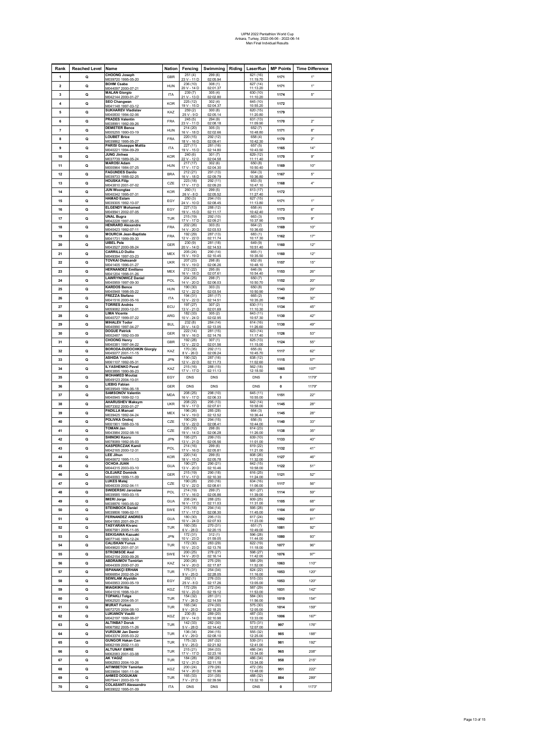## UIPM 2022 Pentathlon World Cup Ankara, Turkey, 2022-06-06 - 2022-06-14 Men Final Indvidual Results

| Rank           | <b>Reached Level</b> | Name                                                  | <b>Nation</b> | Fencing                 | Swimming               | Riding | LaserRun               | <b>MP Points</b> | <b>Time Difference</b> |
|----------------|----------------------|-------------------------------------------------------|---------------|-------------------------|------------------------|--------|------------------------|------------------|------------------------|
| 1              | Q                    | <b>CHOONG Joseph</b><br>M039720 1995-05-20            | <b>GBR</b>    | 251(4)<br>23 V - 11 D   | 299 (6)<br>02:05.94    |        | 621 (16)<br>11:19.70   | 1171             | 1"                     |
| $\mathbf 2$    | Q                    | <b>BOHM Csaba</b>                                     | HUN           | 236 (10)                | 308 (1)                |        | 627(14)                | 1171             | 1"                     |
| 3              | Q                    | M044097 2000-07-21<br><b>MALAN Giorgio</b>            | <b>ITA</b>    | 20 V - 14 D<br>239 (7)  | 02:01.37<br>305(4)     |        | 11:13.20<br>630 (10)   | 1174             | $5"$                   |
|                |                      | M042144 2000-01<br><b>SEO Changwan</b>                |               | 21 V - 13 D<br>225 (12) | 02:02.80<br>302(4)     |        | 11:10.20<br>645 (10)   |                  |                        |
| 4              | Q                    | M041148 1997-03<br><b>SUKHAREV Vladislav</b>          | <b>KOR</b>    | 19 V - 15 D<br>259(2)   | 02:04.37               |        | 10:55.20               | 1172             |                        |
| 5              | Q                    | M040830 1994-02-06                                    | KAZ           | $25V - 9D$              | 300(8)<br>02:05.14     |        | 620 (15)<br>11:20.80   | 1179             |                        |
| 6              | Q                    | <b>PRADES Valentin</b><br>M038991 1992-09-26          | <b>FRA</b>    | 245(5)<br>23 V - 11 D   | 294 (9)<br>02:08.18    |        | 631 (13)<br>11:09.90   | 1170             | 2 <sup>n</sup>         |
| $\overline{7}$ | Q                    | <b>DEMETER Bence</b>                                  | <b>HUN</b>    | 214 (20)                | 305(3)                 |        | 652(7)                 | 1171             | 8"                     |
| 8              | Q                    | M005255 1990-03-19<br><b>LOUBET Brice</b>             | <b>FRA</b>    | 16 V - 18 D<br>220 (15) | 02:02.66<br>292 (12)   |        | 10:48.80<br>658 (4)    | 1170             | 2"                     |
|                |                      | M039862 1995-05<br>PARISI Giuseppe Mattia             |               | 18 V - 16 D<br>227 (11) | 02:09.41<br>281 (16)   |        | 10:42.30<br>657 (5)    |                  |                        |
| 9              | Q                    | M040221 1994-09-29<br><b>JUNG Jinhwa</b>              | <b>ITA</b>    | 19 V - 15 D<br>240(6)   | 02:14.80<br>301(7)     |        | 10:43.50<br>629 (12)   | 1165             | 14"                    |
| 10             | Q                    | M037739 1989-05                                       | <b>KOR</b>    | 22 V - 12 D             | 02:04.58               |        | 11:11.40               | 1170             | 9"                     |
| 11             | Q                    | <b>MAROSI Adam</b><br>M000964 1984-07                 | <b>HUN</b>    | 217(17)<br>17 V - 17 D  | 302(6)<br>02:04.30     |        | 650 (8)<br>10:50.40    | 1169             | 10"                    |
| 12             | Q                    | <b>FAGUNDES Danilo</b><br>M039733 1988-02-25          | <b>BRA</b>    | 212 (21)<br>16 V - 18 D | 291 (13)<br>02:09.79   |        | 664 (3)<br>10:36.80    | 1167             | 5"                     |
| 13             | $\Omega$             | <b>HOUSKA Filip</b>                                   | CZE           | 223 (18)                | 292 (11)               |        | 653 (5)                | 1168             | $4"$                   |
| 14             |                      | M043810 2001-07-02<br><b>JUN Woongtae</b>             | <b>KOR</b>    | 17 V - 17 D<br>260(1)   | 02:09.20<br>299(5)     |        | 10:47.10<br>613 (17)   |                  |                        |
|                | Q                    | M040342 1995-01<br><b>HAMAD Eslam</b>                 |               | 26 V - 8 D<br>250(3)    | 02:05.52<br>294 (10)   |        | 11:27.40<br>627 (15)   | 1172             |                        |
| 15             | Q                    | M039305 1992-10                                       | <b>FGY</b>    | 24 V - 10 D             | 02:08.45               |        | 11:13.80               | 1171             | 1"                     |
| 16             | Q                    | <b>ELGENDY Mohamed</b><br>M049941 2002-07-05          | EGY           | 227 (13)<br>19 V - 15 D | 288 (12)<br>02:11.17   |        | 658 (4)<br>10:42.40    | 1173             | $6"$                   |
| 17             | Q                    | <b>UNAL Bugra</b><br>M042228 1997-05-05               | TUR           | 215 (19)<br>17 V - 17 D | 292 (10)<br>02:09.21   |        | 663 (3)<br>10:37.90    | 1170             | 9"                     |
| 18             | Q                    | <b>HENRARD Alexandre</b>                              | <b>FRA</b>    | 202 (26)                | 303(5)                 |        | 664 (2)                | 1169             | 10"                    |
| 19             | Q                    | M040423 1992-07-11<br><b>MOURCIA Jean-Baptiste</b>    | FRA           | 14 V - 20 D<br>192 (29) | 02:03.53<br>287 (13)   |        | 10:36.60<br>683 (1)    | 1162             | 17"                    |
|                |                      | M041731 1999-09-30<br><b>UIBEL Pele</b>               |               | 12 V - 22 D<br>230(9)   | 02:11.74<br>281 (18)   |        | 10:17.30<br>649 (9)    |                  |                        |
| 20             | Q                    | M043527 2000-08-24<br><b>CARRILLO Duilio</b>          | GER           | 20 V - 14 D<br>205 (24) | 02:14.53<br>290 (14)   |        | 10:51.40<br>665 (1)    | 1160             | 12"                    |
| 21             | Q                    | M049394 1997-03-23                                    | MEX           | 15 V - 19 D             | 02:10.45               |        | 10:35.50               | 1160             | 12"                    |
| 22             | Q                    | <b>TOVKAI Oleksandr</b><br>M041405 1996-01-2          | <b>UKR</b>    | 207 (23)<br>15 V - 19 D | 298 (8)<br>02:06.26    |        | 652(6)<br>10:48.10     | 1157             | 15"                    |
| 23             | Q                    | <b>HERNANDEZ Emiliano</b><br>M041204 1998-01-26       | <b>MEX</b>    | 212 (22)<br>16 V - 18 D | 295(9)<br>02:07.61     |        | 646 (9)<br>10:54.40    | 1153             | 26'                    |
| 24             | Q                    | <b>LAWRYNOWICZ Daniel</b>                             | POL           | 204 (25)                | 298 (7)                |        | 650 (7)                | 1152             | 20"                    |
| 25             |                      | M040959 1997-09-30<br><b>KARDOS Bence</b>             | <b>HUN</b>    | 14 V - 20 D<br>190 (30) | 02:06.03<br>303(3)     |        | 10:50.70<br>650 (8)    |                  | 29'                    |
|                | Q                    | M040948 1998-05<br>FREZZA Stefano                     |               | 12 V - 22 D<br>194 (31) | 02:03.54<br>281 (17)   |        | 10:50.90<br>665 (2)    | 1143             |                        |
| 26             | Q                    | M041516 2000-05-16                                    | <b>ITA</b>    | $12V - 22D$             | 02:14.51               |        | 10:35.20               | 1140             | 32"                    |
| 27             | Q                    | <b>TORRES Andrés</b><br>M059082 2000-12-01            | ECU           | 197(27)<br>13 V - 21 D  | 307 (2)<br>02:01.69    |        | 630 (11)<br>11:10.30   | 1134             | 45"                    |
| 28             | Q                    | <b>LIMA Vicente</b><br>M040727 1999-07-22             | ARG           | 182 (33)<br>10 V - 24 C | 305(2)<br>02:02.95     |        | 643 (11)<br>10:57.30   | 1130             | 42"                    |
| 29             | Q                    | <b>MIHALEV Todor</b>                                  | <b>BUL</b>    | 232(8)                  | 284 (14)               |        | 614 (16)               | 1130             | 49"                    |
| 30             | Q                    | M040990 1997-04-27<br><b>DOGUE Patrick</b>            | GER           | 20 V - 14 D<br>222(14)  | 02:13.05<br>281 (15)   |        | 11:26.60<br>623(14)    | 1126             | 53"                    |
|                |                      | M002487 1992-03-09<br><b>CHOONG Henry</b>             |               | 18 V - 16 D<br>192 (28) | 02:14.76<br>307(1)     |        | 11:17.40<br>625 (13)   |                  |                        |
| 31             | Q                    | M040381 1997-04-22<br><b>BORODA-DUDOCHKIN Giorgiy</b> | GBR           | 12 V - 22 D             | 02:01.56               |        | 11:15.00               | 1124             | 55'                    |
| 32             | Q                    | M045077 2001-11-15                                    | KAZ           | 170 (35)<br>8 V - 26 D  | 292 (11)<br>02:09.24   |        | 655 (6)<br>10:45.70    | 1117             | 62"                    |
| 33             | Q                    | <b>ASHIDA Yoshiki</b><br>M061107 1992-05-31           | .IPN          | 190 (32)<br>12 V - 22 D | 287 (16)<br>02:11.73   |        | 638 (12)<br>11:02.60   | 1115             | 57'                    |
| 34             | Q                    | <b>ILYASHENKO Pavel</b>                               | KAZ           | 215 (16)<br>17 V - 17 D | 288 (15)<br>02:11.13   |        | 562 (18)<br>12:18.50   | 1065             | 107"                   |
| 35             | Q                    | M003895 1990-06-23<br><b>MOHAMED Moutaz</b>           | EGY           | DNS                     | <b>DNS</b>             |        | DNS                    | 0                | 1179"                  |
|                |                      | M049123 2004-10-01<br><b>LIEBIG Fabian</b>            |               |                         |                        |        |                        |                  |                        |
| 36             | $\Omega$             | M039549 1994-06-18<br><b>SAMSONOV Valentin</b>        | GER           | <b>DNS</b><br>208 (25)  | <b>DNS</b><br>298 (10) |        | <b>DNS</b><br>645 (11) | $\mathbf{0}$     | 1179"                  |
| 37             | Q                    | M040945 1999-02-13                                    | <b>MDA</b>    | 16 V - 17 D             | 02:06.33               |        | 10:55.00               | 1151             | 22"                    |
| 38             | Q                    | <b>AHARUSHEV Maksym</b><br>M073302 2000-01-21         | <b>UKR</b>    | 208 (22)<br>16 V - 17 D | 295 (13)<br>02:07.61   |        | 642 (14)<br>10:58.00   | 1145             | 28'                    |
| 39             | Q                    | <b>PADILLA Manuel</b><br>M039425 1992-04-24           | <b>MEX</b>    | 196 (26)<br>14 V - 19 D | 285 (28)<br>02:12.52   |        | 664(3)<br>10:36.44     | 1145             | 28'                    |
| 40             | Q                    | POLIVKA Ondrej                                        | CZE           | 190 (29)                | 294 (15)               |        | 656 (5)                | 1140             | 33'                    |
| 41             | Q                    | M001901 1988-03-16<br><b>TOMAN Jan</b>                | CZE           | 12 V - 22 D<br>226 (12) | 02:08.41<br>298 (9)    |        | 10:44.00<br>614 (23)   | 1138             | 35"                    |
|                |                      | M043984 2002-08-16<br><b>SHINOKI Kaoru</b>            |               | 19 V - 14 D<br>195 (27) | 02:06.28<br>299 (10)   |        | 11:26.00<br>639 (10)   |                  |                        |
| 42             | Q                    | M078089 1992-05-03<br><b>KASPERCZAK Kamil</b>         | <b>JPN</b>    | 13 V - 21 D             | 02:05.56               |        | 11:01.00               | 1133             | 40"                    |
| 43             | Q                    | M042165 2000-12-3                                     | POL           | 214 (16)<br>17 V - 16 D | 299(6)<br>02:05.81     |        | 619 (22)<br>11:21.00   | 1132             | 41"                    |
| 44             | Q                    | LEE Jihun<br>M040672 1995-11-13                       | <b>KOR</b>    | 220 (14)<br>18 V - 15 D | 299(5)<br>02:05.78     |        | 608 (26)<br>11:32.00   | 1127             | 46"                    |
| 45             | Q                    | <b>OCHOA JUAN</b>                                     | <b>GUA</b>    | 190 (27)                | 290 (21)               |        | 642 (15)               | 1122             | 51"                    |
| 46             | Q                    | M044315 2003-03-10<br><b>OLEJARZ Dominik</b>          | <b>GER</b>    | 13 V - 20 D<br>215(19)  | 02:10.46<br>290 (18)   |        | 10:58.00<br>616 (25)   | 1121             | 52"                    |
|                |                      | M040093 1999-11-09<br><b>LUKES Matej</b>              |               | 17 V - 17 D<br>190 (28) | 02:10.30<br>293 (16)   |        | 11:24.00<br>634 (16)   |                  |                        |
| 47             | Q                    | M046339 2002-04-1<br><b>SWIDERSKI Jaroslaw</b>        | CZE           | 12 V - 22 D             | 02:08.61               |        | 11:06.00<br>601 (27)   | 1117             | 56"                    |
| 48             | Q                    | M039585 1993-03-15                                    | POL           | 214 (19)<br>17 V - 16 D | 299 (7)<br>02:05.86    |        | 11:39.00               | 1114             | 59"                    |
| 49             | Q                    | <b>IMERI Jorge</b><br>M038876 1993-05-02              | <b>GUA</b>    | 208 (24)<br>16 V - 17 D | 288 (25)<br>02:11.03   |        | 609 (25)<br>11:31.00   | 1105             | 68"                    |
| 50             | Q                    | <b>STEINBOCK Daniel</b><br>M039806 1996-02-11         | SWE           | 215(18)<br>17 V - 17 D  | 294 (14)<br>02:08.30   |        | 595 (28)<br>11:45.00   | 1104             | 69"                    |
| 51             | Q                    | <b>FERNANDEZ ANDRES</b>                               | <b>GUA</b>    | 180 (30)                | 295 (13)               |        | 617 (24)               | 1092             | 81"                    |
| 52             | Q                    | M041955 2001-09-21<br><b>TASYARAN Kivanc</b>          | TUR           | $10V - 24D$<br>160 (35) | 02:07.93<br>270 (31)   |        | 11:23.00<br>651(7)     | 1081             | 92"                    |
|                |                      | M067581 2005-11-05<br><b>SEKIGAWA Kazuaki</b>         |               | $6V - 28D$<br>172(31)   | 02:20.15<br>312(1)     |        | 10:49.00<br>596 (28)   |                  |                        |
| 53             | Q                    | M077146 1993-12-24                                    | <b>JPN</b>    | 10 V - 23 D             | 01:59.05               |        | 11:44.00               | 1080             | 93"                    |
| 54             | Q                    | <b>CALISKAN Yunus</b><br>M049620 2001-07-3            | TUR           | 172 (30)<br>10 V - 23 D | 283 (29)<br>02:13.76   |        | 622 (19)<br>11:18.00   | 1077             | 96"                    |
| 55             | Q                    | <b>STROMSOE Axel</b><br>M042154 2000-09-26            | SWE           | 200(25)<br>14 V - 20 D  | 278 (27)<br>02:16.14   |        | 598 (27)<br>11:42.00   | 1076             | 97"                    |
| 56             | Q                    | <b>ABDRAIMOV Temirlan</b>                             | KAZ           | 200 (26)<br>14 V - 20 D | 275 (29)               |        | 588 (29)<br>11:52.00   | 1063             | 110"                   |
| 57             | Q                    | M044309 2000-07-20<br><b>ISPANAKÇI ERHAN</b>          | TUR           | 175 (31)                | 02:17.87<br>254 (34)   |        | 624 (22)               | 1053             | 120"                   |
|                |                      | M066854 2002-05-24<br><b>SEWILAM Alyeldin</b>         |               | 9 V - 25 D<br>262(1)    | 02:28.05<br>276 (33)   |        | 11:16.00<br>515 (33)   |                  |                        |
| 58             | Q                    | M040953 2000-05-19<br><b>MIAGKIKH Ilia</b>            | EGY           | 25 V - 8 D<br>172 (29)  | 02:17.26<br>272 (34)   |        | 13:05.00<br>587 (29)   | 1053             | 120"                   |
| 59             | Q                    | M041016 1998-10-01                                    | KGZ           | 10 V - 23 D             | 02:19.12               |        | 11:53.00               | 1031             | 142"                   |
| 60             | Q                    | <b>TOPAKLI Tolga</b><br>M062520 2004-05               | TUR           | 154 (32)<br>7 V - 26 D  | 281 (31)<br>02:14.59   |        | 584 (30)<br>11:56.00   | 1019             | 154"                   |
| 61             | Q                    | <b>MURAT Furkan</b><br>M072725 2004-08-10             | TUR           | 165 (34)<br>9 V - 25 D  | 274 (30)<br>02:18.25   |        | 575 (30)<br>12:05.00   | 1014             | 159"                   |
| 62             | Q                    | <b>LUKIANOV Vasilii</b>                               | KGZ           | 230(8)                  | 289 (20)               |        | 487 (33)               | 1006             | 167"                   |
|                |                      | M042197 1999-08-07<br><b>ALTINBA? Doruk</b>           |               | 20 V - 14 D<br>142 (33) | 02:10.98<br>282 (30)   |        | 13:33.00<br>573 (31)   |                  |                        |
| 63             | Q                    | M067582 2005-11-26<br><b>VURDUM Jan Demir</b>         | TUR           | 5 V - 28 D              | 02:14.42               |        | 12:07.00               | 997              | 176"                   |
| 64             | Q                    | M043374 2005-03-22                                    | TUR           | 136 (34)<br>$4V - 29D$  | 294 (15)<br>02:08.10   |        | 555 (32)<br>12:25.00   | 985              | 188"                   |
| 65             | Q                    | <b>GUNGOR Hakan Can</b><br>M062199 2002-11-03         | TUR           | 175 (32)<br>$9V - 25D$  | 267 (32)<br>02:21.92   |        | 539 (31)<br>12:41.00   | 981              | 192"                   |
| 66             | Q                    | <b>ALTUNAY EMRE</b>                                   | TUR           | 215 (21)<br>17 V - 17 D | 264 (33)<br>02:23.16   |        | 486 (34)<br>13:34.00   | 965              | 208"                   |
| 67             | Q                    | M062083 2001-03-08<br><b>AK YAGIZ</b>                 | TUR           | 184 (28)                | 288 (26)               |        | 486 (34)               | 958              | 215"                   |
|                |                      | M062553 2004-10-26<br><b>AITIMBETOV Temirlan</b>      |               | 12 V - 21 D<br>200 (24) | 02:11.18<br>279 (26)   |        | 13:34.00<br>472 (35)   |                  |                        |
| 68             | Q                    | M039694 1991-11-04<br><b>AHMED DOGUKAN</b>            | KGZ           | 14 V - 20 D<br>165 (33) | 02:15.96<br>231 (35)   |        | 13:48.00<br>488 (32)   | 951              | 222"                   |
| 69             | Q                    | M075441 2003-03-19                                    | TUR           | 7 V - 27 D              | 02:39.56               |        | 13:32.10               | 884              | 289"                   |
| 70             | Q                    | <b>COLASANTI Alessandro</b><br>M039022 1995-01-09     | <b>ITA</b>    | <b>DNS</b>              | <b>DNS</b>             |        | DNS                    | 0                | 1173"                  |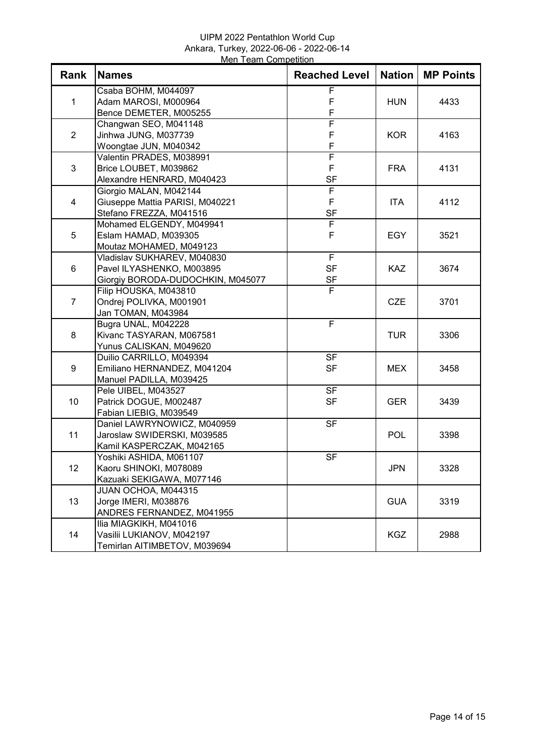## UIPM 2022 Pentathlon World Cup Ankara, Turkey, 2022-06-06 - 2022-06-14 Men Team Competition

| Rank           | <b>Names</b>                      | <b>Reached Level</b>     | <b>Nation</b> | <b>MP Points</b> |
|----------------|-----------------------------------|--------------------------|---------------|------------------|
| $\mathbf{1}$   | Csaba BOHM, M044097               | F                        |               |                  |
|                | Adam MAROSI, M000964              | F                        | <b>HUN</b>    | 4433             |
|                | Bence DEMETER, M005255            | F                        |               |                  |
| $\overline{2}$ | Changwan SEO, M041148             | F                        |               |                  |
|                | Jinhwa JUNG, M037739              | F                        | <b>KOR</b>    | 4163             |
|                | Woongtae JUN, M040342             | F                        |               |                  |
|                | Valentin PRADES, M038991          | F                        |               |                  |
| 3              | Brice LOUBET, M039862             | F                        | <b>FRA</b>    | 4131             |
|                | Alexandre HENRARD, M040423        | <b>SF</b>                |               |                  |
|                | Giorgio MALAN, M042144            | F                        |               | 4112             |
| $\overline{4}$ | Giuseppe Mattia PARISI, M040221   | F                        | <b>ITA</b>    |                  |
|                | Stefano FREZZA, M041516           | <b>SF</b>                |               |                  |
|                | Mohamed ELGENDY, M049941          | F                        |               |                  |
| 5              | Eslam HAMAD, M039305              | F                        | <b>EGY</b>    | 3521             |
|                | Moutaz MOHAMED, M049123           |                          |               |                  |
|                | Vladislav SUKHAREV, M040830       | $\overline{F}$           |               |                  |
| 6              | Pavel ILYASHENKO, M003895         | <b>SF</b>                | <b>KAZ</b>    | 3674             |
|                | Giorgiy BORODA-DUDOCHKIN, M045077 | <b>SF</b>                |               |                  |
|                | Filip HOUSKA, M043810             | $\overline{F}$           |               |                  |
| $\overline{7}$ | Ondrej POLIVKA, M001901           |                          | <b>CZE</b>    | 3701             |
|                | Jan TOMAN, M043984                |                          |               |                  |
|                | Bugra UNAL, M042228               | F                        |               |                  |
| 8              | Kivanc TASYARAN, M067581          |                          | <b>TUR</b>    | 3306             |
|                | Yunus CALISKAN, M049620           |                          |               |                  |
|                | Duilio CARRILLO, M049394          | $\overline{\mathsf{SF}}$ |               |                  |
| 9              | Emiliano HERNANDEZ, M041204       | <b>SF</b>                | <b>MEX</b>    | 3458             |
|                | Manuel PADILLA, M039425           |                          |               |                  |
|                | Pele UIBEL, M043527               | $\overline{\mathsf{SF}}$ |               |                  |
| 10             | Patrick DOGUE, M002487            | <b>SF</b>                | <b>GER</b>    | 3439             |
|                | Fabian LIEBIG, M039549            |                          |               |                  |
|                | Daniel LAWRYNOWICZ, M040959       | <b>SF</b>                |               |                  |
| 11             | Jaroslaw SWIDERSKI, M039585       |                          | <b>POL</b>    | 3398             |
|                | Kamil KASPERCZAK, M042165         |                          |               |                  |
|                | Yoshiki ASHIDA, M061107           | <b>SF</b>                |               |                  |
| 12             | Kaoru SHINOKI, M078089            |                          | <b>JPN</b>    | 3328             |
|                | Kazuaki SEKIGAWA, M077146         |                          |               |                  |
|                | JUAN OCHOA, M044315               |                          |               |                  |
| 13             | Jorge IMERI, M038876              |                          | <b>GUA</b>    | 3319             |
|                | ANDRES FERNANDEZ, M041955         |                          |               |                  |
|                | Ilia MIAGKIKH, M041016            |                          |               |                  |
| 14             | Vasilii LUKIANOV, M042197         |                          | <b>KGZ</b>    | 2988             |
|                | Temirlan AITIMBETOV, M039694      |                          |               |                  |